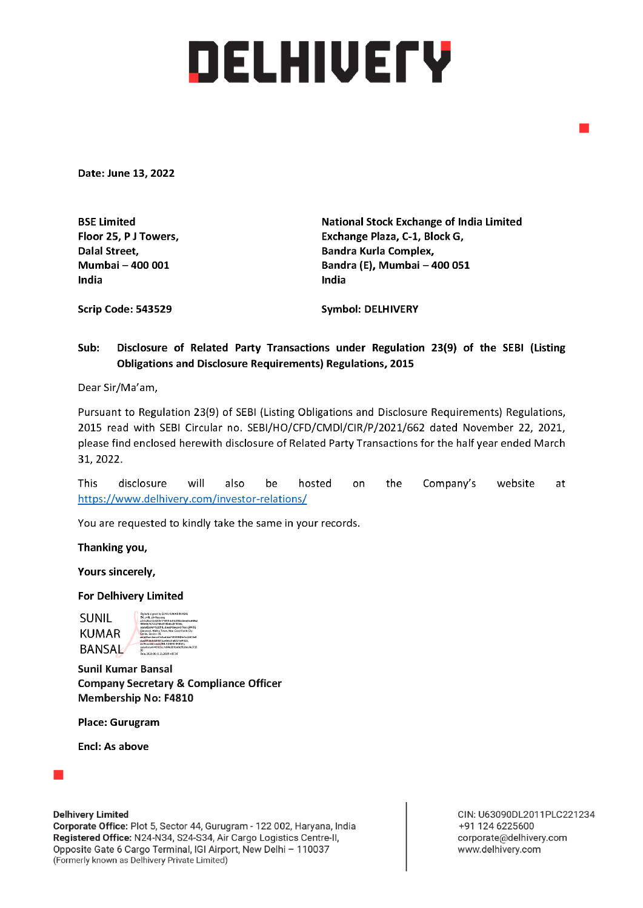## DELHIVETY

Date: June 13, 2022

India India

BSE Limited National Stock Exchange of India Limited Floor 25, P J Towers, Exchange Plaza, C-1, Block G, Dalal Street, **Bandra Kurla Complex,** Bandra Kurla Complex, Mumbai — 400 001 Bandra (E), Mumbai — 400 051

Scrip Code: 543529 Symbol: DELHIVERY

## Sub: Disclosure of Related Party Transactions under Regulation 23(9) of the SEBI (Listing Obligations and Disclosure Requirements) Regulations, 2015

Dear Sir/Ma'am,

Pursuant to Regulation 23(9) of SEBI (Listing Obligations and Disclosure Requirements) Regulations, 2015 read with SEBI Circular no. SEBI/HO/CFD/CMDI/CIR/P/2021/662 dated November 22, 2021, please find enclosed herewith disclosure of Related Party Transactions for the half year ended March 31, 2022. **Scrip Code: 543529**<br> **Sub:** Disclosure of Related Party Transac<br> **Obligations and Disclosure Requireme:**<br>
Dear Sir/Ma'am,<br>
Pursuant to Regulation 23(9) of SEBI (Listing O<br>
2015 read with SEBI Circular no. SEBI/HO/CFI<br>
ple

This disclosure will also be hosted on the Company's website at

You are requested to kindly take the same in your records.

Thanking you,

Yours sincerely,

For Delhivery Limited

**EV SUNIL KUMAR BANSA** SUNIL KUMAR **BANSAL** 

Sunil Kumar Bansal Company Secretary & Compliance Officer Membership No: F4810

Place: Gurugram

Encl: As above



Delhivery Limited

 (Formerly known as Delhivery Private Limited) Corporate Office: Plot 5, Sector 44, Gurugram - 122 002, Haryana, India Registered Office: N24-N34, S24-S34, Air Cargo Logistics Centre-II, Opposite Gate 6 Cargo Terminal, IGI Airport, New Delhi - 110037

CIN: U63090DL2011PLC221234 +91 124 6225600 corporate@delhivery.com www.delhivery.com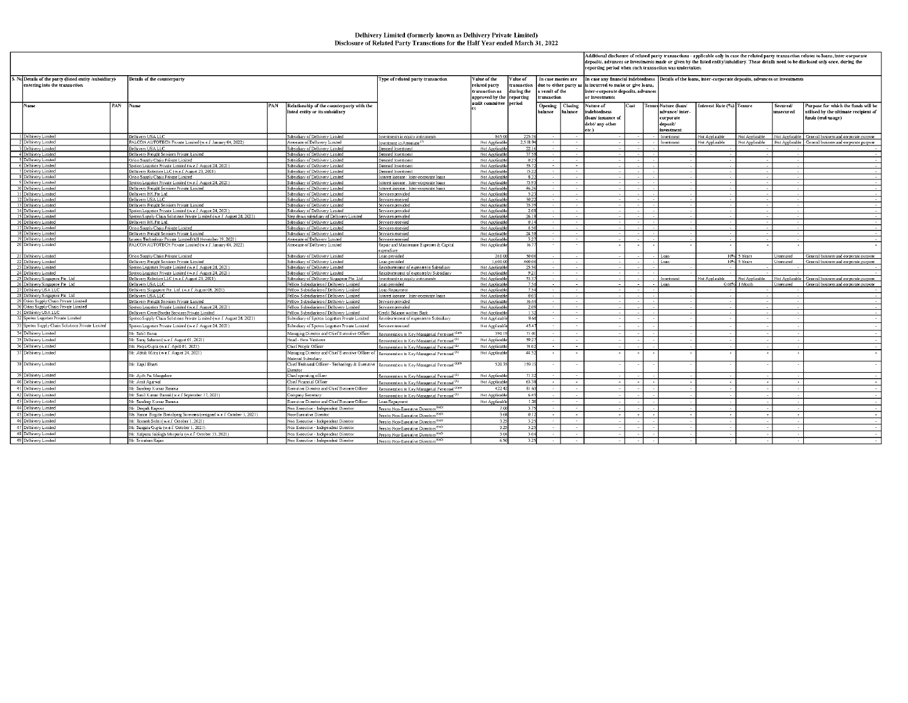## Delhivery Limited (formerly known as Delhivery Private Limited) Disclosure of Related Party Transctions for the Half Year ended March 31, 2022

| Value of<br>Details of the counterparty<br>Type of related party transaction<br>alue of the<br>In case monies are<br>In case any financial indebtedness   Details of the loans, inter-corporate deposits, advances or investments<br>entering into the transaction<br>due to either party as<br>elated party<br>transaction<br>is incurred to make or give loans,<br>during the<br>transaction as<br>result of the<br>inter-corporate deposits, advances<br>approved by the reporting<br>transaction<br>or investments<br>audit committee  period<br>Name<br>PAN<br>Name<br>PAN<br>Relationship of the counterparty with the<br>Opening<br>Closing<br>Tenure Nature (loan/<br>Interest Rate (%) Tenure<br>Purpose for which the funds will be<br>Nature of<br>Cost<br>Secured/<br>balance<br>ndebtedness<br>advance/inter<br>utilised by the ultimate recipient of<br>listed entity or its subsidiary<br>balance<br>unsecured<br>funds (end-usage)<br>(loan/ issuance of<br>corporate<br>debt/ any other<br>deposit/<br>etc.)<br>investment<br>1 Delhivery Limited<br>Delbivery USA LLC<br>865.00<br>225.74<br>ubsidiary of Delhivery Limited<br>Investment<br>Not Applicable<br>Not Applicable<br>Not Applicable   General business and corporate purpose<br>nvestments in equity instruments<br>2,518.9<br>2 Delbivery Limited<br>ALCON AUTOTECH Private Limited (w.e.f. January 04, 2022)<br>Associate of Delhivery Limited<br>Not Applicable<br>Investment<br>Not Applicable<br>Not Applicable General business and corporate purpose<br>nvestment in Associate <sup>(1</sup><br><b>Vot Applicable</b><br>Delhivery USA LLC<br>Subsidiary of Delhivery Limited<br>Deemed Investment<br>Not Applicable<br>22.14<br>3 Delhivery Limited<br>Delhivery Freight Services Private Limited<br>Subsidiary of Delhivery Limited<br>Not Applicable<br>37.5<br>4 Delhivery Limited<br>Deemed Investmen<br>5 Delhivery Limited<br>0.2<br>Not Applicable<br>Drion Supply Chain Private Limited<br>Subsidiary of Delhivery Limited<br>Deemed Investment<br>$\sim$<br>55.7<br>Not Applicable<br>6 Delhivery Limited<br>Spoton Logistics Private Limited (w.e.f. August 24, 2021)<br>Subsidiary of Delhivery Limited<br>Jeemed Investment<br>$\sim 10^{-1}$<br>$\sim$<br>15.22<br>Delhivery Limited<br>Jelbivery Robotics LLC (w.e.f. August 23, 2021)<br>Subsidiary of Delhivery Limited<br>Jeemed Investment<br>Not Applicable<br>8 Delhivery Limited<br>8.2<br>Drion Supply Chain Private Limited<br>Subsidiary of Delhivery Limited<br>Not Applicabl-<br>nterest income : Inter-corporate loans<br>$\sim$<br>$\sim$<br>9 Delhivery Limited<br>73.9<br>Spoton Logistics Private Limited (w.e.f. August 24, 2021)<br>Subsidiary of Delhivery Limited<br>nterest income : Inter-corporate loans<br>Not Applicable<br>$\sim$<br>Delbivery Freight Services Private Limited<br>46.24<br>10 Delhivery Limited<br>Subsidiary of Delhivery Limited<br>nterest income : Inter-comorate loans<br>Not Applicable<br>5.2<br>11 Delhivery Limited<br>Delhivery HK Pte Ltd<br>Subsidiary of Delhivery Limited<br>Not Applicabl-<br>Services provided<br>50.2<br>Not Applicable<br>12 Delhivery Limited<br>Delhivery USA LLC<br>ubsidiary of Delhivery Limited<br>ervices received<br>35.39<br>Selhivery Freight Services Private Limited<br>Not Applicable<br>13 Delhivery Limited<br>Subsidiary of Delhivery Limited<br>Services provided<br>Subsidiary of Delhivery Limited<br>Not Applicable<br>14 Delhivery Limited<br>poton Logistics Private Limited (w.e.f. August 24, 2021)<br>Services provided<br>2.0<br>26.1<br>15 Delhivery Limited<br>Spoton Supply Chain Solutions Private Limited (w.e. f. August 24, 2021)<br>Step down subsidiary of Delhivery Limited<br>Not Applicable<br>Services provided<br>16 Delhivery Limited<br>Delbivery HK Pte Ltd.<br>Subsidiary of Delhivery Limited<br>Services recevied<br>Not Applicable<br>$-0.14$<br>17 Delhivery Limited<br>4.50<br>Orion Supply Chain Private Limited<br>Subsidiary of Delhivery Limited<br>Services recevied<br>Not Applicable<br>$\sim$<br>24.51<br>Not Applicable<br>18 Delbivery Limited<br>Delhivery Freight Services Private Limited<br>Subsidiary of Delhivery Limited<br>Services recevied<br>$\sim$<br>3.2<br>19 Delhivery Limited<br>eucon Technology Private Limited (till November 19, 2021)<br>Associate of Delhivery Limited<br>Not Applicable<br>Services recevied<br>20 Delhivery Limited<br>FALCON AUTOTECH Private Limited (w.e.f. January 04, 2022)<br>16.7<br>Associate of Delhivery Limited<br>Not Applicable<br>Repair and Maintenace Expenses & Capital<br>$\sim$<br>$\sim$<br>xpendiure<br>50.0<br>21 Delbivery Limited<br>Orion Supply Chain Private Limited<br>Subsidiary of Delbivery Limited<br>Loan provided<br>261.00<br>10% 5 Years<br>nsecured<br>General business and corporate purpose<br>l Loan<br>22 Delhivery Limited<br>1,600.00<br>400.0<br>Selbivery Freight Services Private Limited<br>ubsidiary of Delhivery Limited<br>Lean provided<br>Loan<br>10<br>Years<br>General business and corporate purpose.<br>oxecured<br>25.54<br>23 Delbivery Limited<br>poton Logistics Private Limited (w.e.f. August 24, 2021)<br>Subsidiary of Delbivery Limited<br>Not Applicable<br>Reimbursement of expenses to Subsidiary<br>$\sim$<br>9.2<br>24 Delbivery Limited<br>Subsidiary of Delhivery Limited<br>Not Applicable<br>poton Logistics Private Limited (w.e.f. August 24, 2021)<br>Reimbursement of expenses by Subsidiary<br>25 Delhivery Singapore Pte. Ltd.<br>Selbivery Roboties LLC (w.e.f. August 23, 2021)<br>Not Applicable<br>53.3<br>ot Applicable General business and corporate purpose<br>Subsidiary of Delhivery Singapore Pte. Ltd.<br>Investments in equity instruments<br>Investment<br>Not Applicable<br>Not Applicable<br>26 Delhivery Singapore Ptc. Ltd.<br>Delhivery USA LLC<br>Fellow Subsidiaries of Delhivery Limited<br>Not Applicable<br>75<br>0.44%<br>1 Month<br>nsecured General business and corporate purpose<br>Loan provided<br>1 Loan<br>27 Delbivery USA LLC<br>Delhivery Singanore Pte. Ltd. (w.e.f. August 08, 2021)<br>Fellow Subsidiaries of Delhivery Limited<br>Loan Repayment<br>Not Applicable<br>75<br>28 Delhivery Singapore Pte. Ltd.<br>Delhivery USA LLC<br>Not Applicable<br>00<br>Fellow Subsidiaries of Delhivery Limited<br>Interest income : Inter-corporate loans<br>$\sim$<br>29 Orion Supply Chain Private Limited<br>16.4<br>Not Applicable<br>Delhivery Freight Services Private Limited<br>Fellow Subsidiaries of Delhivery Limited<br>Services provided<br>30 Orion Supply Chain Private Limited<br>2.0<br>poton Logistics Private Limited (w.e.f. August 24, 2021)<br>Fellow Subsidiaries of Delhivery Limited<br>Services provided<br>Not Applicable<br>31 Delhivery USA LLC<br>Not Applicable<br>Jelbivery Cross Border Services Private Limited<br>Fellow Subsidiaries of Delhivery Limited<br><b>Credit Balance written Back</b><br>1.3<br><b>1999</b><br><b>.</b><br>32 Spoton Logistics Private Limited<br>86<br>Spoton Supply Chain Solutions Private Limited (w.e.f. August 24, 2021)<br>Subsidiary of Spoton Logistics Private Limited<br>Reimbursement of expenses to Subsidiary<br>Not Applicabl<br>- 1<br>33 Spoton Supply Chain Solutions Private Limited<br>45.4<br>Spoton Logistics Private Limited (w.e.f. August 24, 2021)<br>Subsidiary of Spoton Logistics Private Limited<br>Services received<br>Not Applicable<br>$\sim$<br>$\sim$<br>34 Delbivery Limited<br>Mr. Sahil Barua<br>Managing Director and Chief Executive Officer<br>390.1<br>71.0<br>Remineration to Key Managerial Personnel <sup>(23(4)</sup><br>59.21<br>35 Delbivery Limited<br>Mr. Suraj Saharan (w.e.f. August 01, 2021)<br>Head - New Ventures<br>Not Applicabl-<br>$\sim$<br>Remineration to Key Managerial Personnel <sup>121</sup><br>74.0<br>36 Delhivery Limited<br>Ms. Pooja Gupta (w.e.f. April 01, 2021)<br>Chief People Officer<br>Not Applicable<br>Remineration to Key Managerial Personnel <sup>(2)</sup><br>Mr. Abhik Mitra (w.e.f. August 24, 2021)<br>44.5<br>37 Delhivery Limited<br>Managing Director and Chief Executive Officer of Remineration to Key Managerial Personnel <sup>121</sup><br>Not Applicable<br>Aaterial Subsidiary<br>38 Delhivery Limited<br>hief Technical Officer - Technology & Executive Remuneration to Key Managerial Personnel <sup>1234)</sup><br>520.3<br>159.1<br>Mr. Kapil Bharti<br>irector<br>39 Delhivery Limited<br>71.3<br>Mr. Ajith Pai Mangalore<br>Not Applicable<br>Chief operating officer<br>Remineration to Key Managerial Personnel <sup>(2)</sup><br>$\sim$<br>40 Delhivery Limited<br>63.3<br>Mr. Amit Agarwal<br>Thief Financial Officer<br>Not Applicabl-<br>Remineration to Key Managerial Personnel <sup>(2)</sup><br>$\sim$<br>41 Delhivery Limited<br>Executive Director and Chief Business Officer<br>422.42<br>81.6<br>Mr. Sandeep Kumar Barasia<br>Remineration to Key Managerial Personnel <sup>(2x4)</sup><br>$\sim$<br>- 11<br>42 Delhivery Limited<br>Mr. Sunil Kumar Bansal (w.e.f September 17, 2021)<br>Not Applicable<br>6.4<br>Comnany Secretary<br>Remineration to Key Managerial Personnel <sup>(2)</sup><br>43 Delhivery Limited<br>Executive Director and Chief Business Officer<br>Loan Repayment<br>Not Applicable<br>Mr. Sandeep Kumar Barasia<br>1.2<br>$\sim$<br>44 Delhivery Limited<br>3.3<br>Non Executive - Independent Director<br>Fees to Non-Executive Directors <sup>(43,5)</sup><br>7.00<br>Mr. Deepak Kapoor<br>- 1<br>45 Delhivery Limited<br>$-0.1$<br>As. Hanne Birgitte Breinbjerg Sorensen (resigned w.e.f. October 1, 2021)<br>Non-Executive Director<br>3.68<br>Fees to Non-Executive Directors <sup>(43,5)</sup><br>$\sim$<br>٠.<br>46 Delhivery Limited<br>Ar. Romesh Sobti (w.e.f. October 1, 2021)<br>$3.2^{\circ}$<br>3.2<br>Non Executive - Independent Director<br>Fees to Non-Executive Directors <sup>(43,5)</sup><br>3.25<br>47 Delhivery Limited<br>Ar. Saugata Gupta (w.e.f. October 1, 2021)<br>on Executive - Independent Director<br>3.2<br>Fees to Non-Executive Directors <sup>(43,5)</sup><br>- 1<br>. н.<br>48 Delhivery Limited<br>3.04<br>Mr. Kalpana Jaisingh Morparia (w.e.f October 13, 2021)<br>Non Executive - Independent Director<br>Fees to Non-Executive Directors <sup>(43,5)</sup><br>3.0<br>49 Delhivery Limited<br>Mr. Srivatsan Rajan<br>Non Executive - Independent Director<br>6.50<br>Fees to Non-Executive Directors <sup>(43,5)</sup><br>3.2 |                                                        |  |  |  |  |  |  |  |  | Additional disclosure of related party transactions – applicable only in case the related party transaction relates to loans, inter-corporate<br>deposits, advances or investments made or given by the listed entity/subsidiary. These details need to be disclosed only once, during the<br>reporting period when such transaction was undertaken. |  |  |  |  |  |  |  |  |  |  |
|-----------------------------------------------------------------------------------------------------------------------------------------------------------------------------------------------------------------------------------------------------------------------------------------------------------------------------------------------------------------------------------------------------------------------------------------------------------------------------------------------------------------------------------------------------------------------------------------------------------------------------------------------------------------------------------------------------------------------------------------------------------------------------------------------------------------------------------------------------------------------------------------------------------------------------------------------------------------------------------------------------------------------------------------------------------------------------------------------------------------------------------------------------------------------------------------------------------------------------------------------------------------------------------------------------------------------------------------------------------------------------------------------------------------------------------------------------------------------------------------------------------------------------------------------------------------------------------------------------------------------------------------------------------------------------------------------------------------------------------------------------------------------------------------------------------------------------------------------------------------------------------------------------------------------------------------------------------------------------------------------------------------------------------------------------------------------------------------------------------------------------------------------------------------------------------------------------------------------------------------------------------------------------------------------------------------------------------------------------------------------------------------------------------------------------------------------------------------------------------------------------------------------------------------------------------------------------------------------------------------------------------------------------------------------------------------------------------------------------------------------------------------------------------------------------------------------------------------------------------------------------------------------------------------------------------------------------------------------------------------------------------------------------------------------------------------------------------------------------------------------------------------------------------------------------------------------------------------------------------------------------------------------------------------------------------------------------------------------------------------------------------------------------------------------------------------------------------------------------------------------------------------------------------------------------------------------------------------------------------------------------------------------------------------------------------------------------------------------------------------------------------------------------------------------------------------------------------------------------------------------------------------------------------------------------------------------------------------------------------------------------------------------------------------------------------------------------------------------------------------------------------------------------------------------------------------------------------------------------------------------------------------------------------------------------------------------------------------------------------------------------------------------------------------------------------------------------------------------------------------------------------------------------------------------------------------------------------------------------------------------------------------------------------------------------------------------------------------------------------------------------------------------------------------------------------------------------------------------------------------------------------------------------------------------------------------------------------------------------------------------------------------------------------------------------------------------------------------------------------------------------------------------------------------------------------------------------------------------------------------------------------------------------------------------------------------------------------------------------------------------------------------------------------------------------------------------------------------------------------------------------------------------------------------------------------------------------------------------------------------------------------------------------------------------------------------------------------------------------------------------------------------------------------------------------------------------------------------------------------------------------------------------------------------------------------------------------------------------------------------------------------------------------------------------------------------------------------------------------------------------------------------------------------------------------------------------------------------------------------------------------------------------------------------------------------------------------------------------------------------------------------------------------------------------------------------------------------------------------------------------------------------------------------------------------------------------------------------------------------------------------------------------------------------------------------------------------------------------------------------------------------------------------------------------------------------------------------------------------------------------------------------------------------------------------------------------------------------------------------------------------------------------------------------------------------------------------------------------------------------------------------------------------------------------------------------------------------------------------------------------------------------------------------------------------------------------------------------------------------------------------------------------------------------------------------------------------------------------------------------------------------------------------------------------------------------------------------------------------------------------------------------------------------------------------------------------------------------------------------------------------------------------------------------------------------------------------------------------------------------------------------------------------------------------------------------------------------------------------------------------------------------------------------------------------------------------------------------------------------------------------------------------------------------------------------------------------------------------------------------------------------------------------------------------------------------------------------------------------------------------------------------------------------------------------------------------------------------------------------------------------------------------------------------------------------------------------------------------------------------------------------------------------------------------------------------------------------------------------------------------------------------------------------------------------------------------------------------------------------------------------------------------------------------------------------------------------------------------------------------------------------------------------------------------------------------------------------------------------------------------------------------------------------------------------------------------------------------------------------------------------------------------------------------------------------------------------------------------------------------------------------------------------------------------------------------------------------------------------------------------------------------------------------------------------------------------------------------------------------------------------------------------------------------------------------------------------------------------------------------------------------------------------------------------------------------------------------------------------------------------------------------------------------------------------------------------------------------------------------------------------------------------------------------------------------------------------------------------------------------------------------------------------------------------------------------------------------------------------------------------------------------------------------------------------------------------------------------------------------------------------------------------------------------------------------------------------------------------------------------------------------------------------------------------|--------------------------------------------------------|--|--|--|--|--|--|--|--|------------------------------------------------------------------------------------------------------------------------------------------------------------------------------------------------------------------------------------------------------------------------------------------------------------------------------------------------------|--|--|--|--|--|--|--|--|--|--|
|                                                                                                                                                                                                                                                                                                                                                                                                                                                                                                                                                                                                                                                                                                                                                                                                                                                                                                                                                                                                                                                                                                                                                                                                                                                                                                                                                                                                                                                                                                                                                                                                                                                                                                                                                                                                                                                                                                                                                                                                                                                                                                                                                                                                                                                                                                                                                                                                                                                                                                                                                                                                                                                                                                                                                                                                                                                                                                                                                                                                                                                                                                                                                                                                                                                                                                                                                                                                                                                                                                                                                                                                                                                                                                                                                                                                                                                                                                                                                                                                                                                                                                                                                                                                                                                                                                                                                                                                                                                                                                                                                                                                                                                                                                                                                                                                                                                                                                                                                                                                                                                                                                                                                                                                                                                                                                                                                                                                                                                                                                                                                                                                                                                                                                                                                                                                                                                                                                                                                                                                                                                                                                                                                                                                                                                                                                                                                                                                                                                                                                                                                                                                                                                                                                                                                                                                                                                                                                                                                                                                                                                                                                                                                                                                                                                                                                                                                                                                                                                                                                                                                                                                                                                                                                                                                                                                                                                                                                                                                                                                                                                                                                                                                                                                                                                                                                                                                                                                                                                                                                                                                                                                                                                                                                                                                                                                                                                                                                                                                                                                                                                                                                                                                                                                                                                                                                                                                                                                                                                                                                                                                                                                                                                                                                                                                                                                                                                                                                                                                                                                                                                                                                                                                                                                                                                                                                                                                                                                                                                                                                                                               | S. No Details of the party (listed entity /subsidiary) |  |  |  |  |  |  |  |  |                                                                                                                                                                                                                                                                                                                                                      |  |  |  |  |  |  |  |  |  |  |
|                                                                                                                                                                                                                                                                                                                                                                                                                                                                                                                                                                                                                                                                                                                                                                                                                                                                                                                                                                                                                                                                                                                                                                                                                                                                                                                                                                                                                                                                                                                                                                                                                                                                                                                                                                                                                                                                                                                                                                                                                                                                                                                                                                                                                                                                                                                                                                                                                                                                                                                                                                                                                                                                                                                                                                                                                                                                                                                                                                                                                                                                                                                                                                                                                                                                                                                                                                                                                                                                                                                                                                                                                                                                                                                                                                                                                                                                                                                                                                                                                                                                                                                                                                                                                                                                                                                                                                                                                                                                                                                                                                                                                                                                                                                                                                                                                                                                                                                                                                                                                                                                                                                                                                                                                                                                                                                                                                                                                                                                                                                                                                                                                                                                                                                                                                                                                                                                                                                                                                                                                                                                                                                                                                                                                                                                                                                                                                                                                                                                                                                                                                                                                                                                                                                                                                                                                                                                                                                                                                                                                                                                                                                                                                                                                                                                                                                                                                                                                                                                                                                                                                                                                                                                                                                                                                                                                                                                                                                                                                                                                                                                                                                                                                                                                                                                                                                                                                                                                                                                                                                                                                                                                                                                                                                                                                                                                                                                                                                                                                                                                                                                                                                                                                                                                                                                                                                                                                                                                                                                                                                                                                                                                                                                                                                                                                                                                                                                                                                                                                                                                                                                                                                                                                                                                                                                                                                                                                                                                                                                                                                                               |                                                        |  |  |  |  |  |  |  |  |                                                                                                                                                                                                                                                                                                                                                      |  |  |  |  |  |  |  |  |  |  |
|                                                                                                                                                                                                                                                                                                                                                                                                                                                                                                                                                                                                                                                                                                                                                                                                                                                                                                                                                                                                                                                                                                                                                                                                                                                                                                                                                                                                                                                                                                                                                                                                                                                                                                                                                                                                                                                                                                                                                                                                                                                                                                                                                                                                                                                                                                                                                                                                                                                                                                                                                                                                                                                                                                                                                                                                                                                                                                                                                                                                                                                                                                                                                                                                                                                                                                                                                                                                                                                                                                                                                                                                                                                                                                                                                                                                                                                                                                                                                                                                                                                                                                                                                                                                                                                                                                                                                                                                                                                                                                                                                                                                                                                                                                                                                                                                                                                                                                                                                                                                                                                                                                                                                                                                                                                                                                                                                                                                                                                                                                                                                                                                                                                                                                                                                                                                                                                                                                                                                                                                                                                                                                                                                                                                                                                                                                                                                                                                                                                                                                                                                                                                                                                                                                                                                                                                                                                                                                                                                                                                                                                                                                                                                                                                                                                                                                                                                                                                                                                                                                                                                                                                                                                                                                                                                                                                                                                                                                                                                                                                                                                                                                                                                                                                                                                                                                                                                                                                                                                                                                                                                                                                                                                                                                                                                                                                                                                                                                                                                                                                                                                                                                                                                                                                                                                                                                                                                                                                                                                                                                                                                                                                                                                                                                                                                                                                                                                                                                                                                                                                                                                                                                                                                                                                                                                                                                                                                                                                                                                                                                                                               |                                                        |  |  |  |  |  |  |  |  |                                                                                                                                                                                                                                                                                                                                                      |  |  |  |  |  |  |  |  |  |  |
|                                                                                                                                                                                                                                                                                                                                                                                                                                                                                                                                                                                                                                                                                                                                                                                                                                                                                                                                                                                                                                                                                                                                                                                                                                                                                                                                                                                                                                                                                                                                                                                                                                                                                                                                                                                                                                                                                                                                                                                                                                                                                                                                                                                                                                                                                                                                                                                                                                                                                                                                                                                                                                                                                                                                                                                                                                                                                                                                                                                                                                                                                                                                                                                                                                                                                                                                                                                                                                                                                                                                                                                                                                                                                                                                                                                                                                                                                                                                                                                                                                                                                                                                                                                                                                                                                                                                                                                                                                                                                                                                                                                                                                                                                                                                                                                                                                                                                                                                                                                                                                                                                                                                                                                                                                                                                                                                                                                                                                                                                                                                                                                                                                                                                                                                                                                                                                                                                                                                                                                                                                                                                                                                                                                                                                                                                                                                                                                                                                                                                                                                                                                                                                                                                                                                                                                                                                                                                                                                                                                                                                                                                                                                                                                                                                                                                                                                                                                                                                                                                                                                                                                                                                                                                                                                                                                                                                                                                                                                                                                                                                                                                                                                                                                                                                                                                                                                                                                                                                                                                                                                                                                                                                                                                                                                                                                                                                                                                                                                                                                                                                                                                                                                                                                                                                                                                                                                                                                                                                                                                                                                                                                                                                                                                                                                                                                                                                                                                                                                                                                                                                                                                                                                                                                                                                                                                                                                                                                                                                                                                                                                               |                                                        |  |  |  |  |  |  |  |  |                                                                                                                                                                                                                                                                                                                                                      |  |  |  |  |  |  |  |  |  |  |
|                                                                                                                                                                                                                                                                                                                                                                                                                                                                                                                                                                                                                                                                                                                                                                                                                                                                                                                                                                                                                                                                                                                                                                                                                                                                                                                                                                                                                                                                                                                                                                                                                                                                                                                                                                                                                                                                                                                                                                                                                                                                                                                                                                                                                                                                                                                                                                                                                                                                                                                                                                                                                                                                                                                                                                                                                                                                                                                                                                                                                                                                                                                                                                                                                                                                                                                                                                                                                                                                                                                                                                                                                                                                                                                                                                                                                                                                                                                                                                                                                                                                                                                                                                                                                                                                                                                                                                                                                                                                                                                                                                                                                                                                                                                                                                                                                                                                                                                                                                                                                                                                                                                                                                                                                                                                                                                                                                                                                                                                                                                                                                                                                                                                                                                                                                                                                                                                                                                                                                                                                                                                                                                                                                                                                                                                                                                                                                                                                                                                                                                                                                                                                                                                                                                                                                                                                                                                                                                                                                                                                                                                                                                                                                                                                                                                                                                                                                                                                                                                                                                                                                                                                                                                                                                                                                                                                                                                                                                                                                                                                                                                                                                                                                                                                                                                                                                                                                                                                                                                                                                                                                                                                                                                                                                                                                                                                                                                                                                                                                                                                                                                                                                                                                                                                                                                                                                                                                                                                                                                                                                                                                                                                                                                                                                                                                                                                                                                                                                                                                                                                                                                                                                                                                                                                                                                                                                                                                                                                                                                                                                                               |                                                        |  |  |  |  |  |  |  |  |                                                                                                                                                                                                                                                                                                                                                      |  |  |  |  |  |  |  |  |  |  |
|                                                                                                                                                                                                                                                                                                                                                                                                                                                                                                                                                                                                                                                                                                                                                                                                                                                                                                                                                                                                                                                                                                                                                                                                                                                                                                                                                                                                                                                                                                                                                                                                                                                                                                                                                                                                                                                                                                                                                                                                                                                                                                                                                                                                                                                                                                                                                                                                                                                                                                                                                                                                                                                                                                                                                                                                                                                                                                                                                                                                                                                                                                                                                                                                                                                                                                                                                                                                                                                                                                                                                                                                                                                                                                                                                                                                                                                                                                                                                                                                                                                                                                                                                                                                                                                                                                                                                                                                                                                                                                                                                                                                                                                                                                                                                                                                                                                                                                                                                                                                                                                                                                                                                                                                                                                                                                                                                                                                                                                                                                                                                                                                                                                                                                                                                                                                                                                                                                                                                                                                                                                                                                                                                                                                                                                                                                                                                                                                                                                                                                                                                                                                                                                                                                                                                                                                                                                                                                                                                                                                                                                                                                                                                                                                                                                                                                                                                                                                                                                                                                                                                                                                                                                                                                                                                                                                                                                                                                                                                                                                                                                                                                                                                                                                                                                                                                                                                                                                                                                                                                                                                                                                                                                                                                                                                                                                                                                                                                                                                                                                                                                                                                                                                                                                                                                                                                                                                                                                                                                                                                                                                                                                                                                                                                                                                                                                                                                                                                                                                                                                                                                                                                                                                                                                                                                                                                                                                                                                                                                                                                                                               |                                                        |  |  |  |  |  |  |  |  |                                                                                                                                                                                                                                                                                                                                                      |  |  |  |  |  |  |  |  |  |  |
|                                                                                                                                                                                                                                                                                                                                                                                                                                                                                                                                                                                                                                                                                                                                                                                                                                                                                                                                                                                                                                                                                                                                                                                                                                                                                                                                                                                                                                                                                                                                                                                                                                                                                                                                                                                                                                                                                                                                                                                                                                                                                                                                                                                                                                                                                                                                                                                                                                                                                                                                                                                                                                                                                                                                                                                                                                                                                                                                                                                                                                                                                                                                                                                                                                                                                                                                                                                                                                                                                                                                                                                                                                                                                                                                                                                                                                                                                                                                                                                                                                                                                                                                                                                                                                                                                                                                                                                                                                                                                                                                                                                                                                                                                                                                                                                                                                                                                                                                                                                                                                                                                                                                                                                                                                                                                                                                                                                                                                                                                                                                                                                                                                                                                                                                                                                                                                                                                                                                                                                                                                                                                                                                                                                                                                                                                                                                                                                                                                                                                                                                                                                                                                                                                                                                                                                                                                                                                                                                                                                                                                                                                                                                                                                                                                                                                                                                                                                                                                                                                                                                                                                                                                                                                                                                                                                                                                                                                                                                                                                                                                                                                                                                                                                                                                                                                                                                                                                                                                                                                                                                                                                                                                                                                                                                                                                                                                                                                                                                                                                                                                                                                                                                                                                                                                                                                                                                                                                                                                                                                                                                                                                                                                                                                                                                                                                                                                                                                                                                                                                                                                                                                                                                                                                                                                                                                                                                                                                                                                                                                                                                               |                                                        |  |  |  |  |  |  |  |  |                                                                                                                                                                                                                                                                                                                                                      |  |  |  |  |  |  |  |  |  |  |
|                                                                                                                                                                                                                                                                                                                                                                                                                                                                                                                                                                                                                                                                                                                                                                                                                                                                                                                                                                                                                                                                                                                                                                                                                                                                                                                                                                                                                                                                                                                                                                                                                                                                                                                                                                                                                                                                                                                                                                                                                                                                                                                                                                                                                                                                                                                                                                                                                                                                                                                                                                                                                                                                                                                                                                                                                                                                                                                                                                                                                                                                                                                                                                                                                                                                                                                                                                                                                                                                                                                                                                                                                                                                                                                                                                                                                                                                                                                                                                                                                                                                                                                                                                                                                                                                                                                                                                                                                                                                                                                                                                                                                                                                                                                                                                                                                                                                                                                                                                                                                                                                                                                                                                                                                                                                                                                                                                                                                                                                                                                                                                                                                                                                                                                                                                                                                                                                                                                                                                                                                                                                                                                                                                                                                                                                                                                                                                                                                                                                                                                                                                                                                                                                                                                                                                                                                                                                                                                                                                                                                                                                                                                                                                                                                                                                                                                                                                                                                                                                                                                                                                                                                                                                                                                                                                                                                                                                                                                                                                                                                                                                                                                                                                                                                                                                                                                                                                                                                                                                                                                                                                                                                                                                                                                                                                                                                                                                                                                                                                                                                                                                                                                                                                                                                                                                                                                                                                                                                                                                                                                                                                                                                                                                                                                                                                                                                                                                                                                                                                                                                                                                                                                                                                                                                                                                                                                                                                                                                                                                                                                                               |                                                        |  |  |  |  |  |  |  |  |                                                                                                                                                                                                                                                                                                                                                      |  |  |  |  |  |  |  |  |  |  |
|                                                                                                                                                                                                                                                                                                                                                                                                                                                                                                                                                                                                                                                                                                                                                                                                                                                                                                                                                                                                                                                                                                                                                                                                                                                                                                                                                                                                                                                                                                                                                                                                                                                                                                                                                                                                                                                                                                                                                                                                                                                                                                                                                                                                                                                                                                                                                                                                                                                                                                                                                                                                                                                                                                                                                                                                                                                                                                                                                                                                                                                                                                                                                                                                                                                                                                                                                                                                                                                                                                                                                                                                                                                                                                                                                                                                                                                                                                                                                                                                                                                                                                                                                                                                                                                                                                                                                                                                                                                                                                                                                                                                                                                                                                                                                                                                                                                                                                                                                                                                                                                                                                                                                                                                                                                                                                                                                                                                                                                                                                                                                                                                                                                                                                                                                                                                                                                                                                                                                                                                                                                                                                                                                                                                                                                                                                                                                                                                                                                                                                                                                                                                                                                                                                                                                                                                                                                                                                                                                                                                                                                                                                                                                                                                                                                                                                                                                                                                                                                                                                                                                                                                                                                                                                                                                                                                                                                                                                                                                                                                                                                                                                                                                                                                                                                                                                                                                                                                                                                                                                                                                                                                                                                                                                                                                                                                                                                                                                                                                                                                                                                                                                                                                                                                                                                                                                                                                                                                                                                                                                                                                                                                                                                                                                                                                                                                                                                                                                                                                                                                                                                                                                                                                                                                                                                                                                                                                                                                                                                                                                                                               |                                                        |  |  |  |  |  |  |  |  |                                                                                                                                                                                                                                                                                                                                                      |  |  |  |  |  |  |  |  |  |  |
|                                                                                                                                                                                                                                                                                                                                                                                                                                                                                                                                                                                                                                                                                                                                                                                                                                                                                                                                                                                                                                                                                                                                                                                                                                                                                                                                                                                                                                                                                                                                                                                                                                                                                                                                                                                                                                                                                                                                                                                                                                                                                                                                                                                                                                                                                                                                                                                                                                                                                                                                                                                                                                                                                                                                                                                                                                                                                                                                                                                                                                                                                                                                                                                                                                                                                                                                                                                                                                                                                                                                                                                                                                                                                                                                                                                                                                                                                                                                                                                                                                                                                                                                                                                                                                                                                                                                                                                                                                                                                                                                                                                                                                                                                                                                                                                                                                                                                                                                                                                                                                                                                                                                                                                                                                                                                                                                                                                                                                                                                                                                                                                                                                                                                                                                                                                                                                                                                                                                                                                                                                                                                                                                                                                                                                                                                                                                                                                                                                                                                                                                                                                                                                                                                                                                                                                                                                                                                                                                                                                                                                                                                                                                                                                                                                                                                                                                                                                                                                                                                                                                                                                                                                                                                                                                                                                                                                                                                                                                                                                                                                                                                                                                                                                                                                                                                                                                                                                                                                                                                                                                                                                                                                                                                                                                                                                                                                                                                                                                                                                                                                                                                                                                                                                                                                                                                                                                                                                                                                                                                                                                                                                                                                                                                                                                                                                                                                                                                                                                                                                                                                                                                                                                                                                                                                                                                                                                                                                                                                                                                                                                               |                                                        |  |  |  |  |  |  |  |  |                                                                                                                                                                                                                                                                                                                                                      |  |  |  |  |  |  |  |  |  |  |
|                                                                                                                                                                                                                                                                                                                                                                                                                                                                                                                                                                                                                                                                                                                                                                                                                                                                                                                                                                                                                                                                                                                                                                                                                                                                                                                                                                                                                                                                                                                                                                                                                                                                                                                                                                                                                                                                                                                                                                                                                                                                                                                                                                                                                                                                                                                                                                                                                                                                                                                                                                                                                                                                                                                                                                                                                                                                                                                                                                                                                                                                                                                                                                                                                                                                                                                                                                                                                                                                                                                                                                                                                                                                                                                                                                                                                                                                                                                                                                                                                                                                                                                                                                                                                                                                                                                                                                                                                                                                                                                                                                                                                                                                                                                                                                                                                                                                                                                                                                                                                                                                                                                                                                                                                                                                                                                                                                                                                                                                                                                                                                                                                                                                                                                                                                                                                                                                                                                                                                                                                                                                                                                                                                                                                                                                                                                                                                                                                                                                                                                                                                                                                                                                                                                                                                                                                                                                                                                                                                                                                                                                                                                                                                                                                                                                                                                                                                                                                                                                                                                                                                                                                                                                                                                                                                                                                                                                                                                                                                                                                                                                                                                                                                                                                                                                                                                                                                                                                                                                                                                                                                                                                                                                                                                                                                                                                                                                                                                                                                                                                                                                                                                                                                                                                                                                                                                                                                                                                                                                                                                                                                                                                                                                                                                                                                                                                                                                                                                                                                                                                                                                                                                                                                                                                                                                                                                                                                                                                                                                                                                                               |                                                        |  |  |  |  |  |  |  |  |                                                                                                                                                                                                                                                                                                                                                      |  |  |  |  |  |  |  |  |  |  |
|                                                                                                                                                                                                                                                                                                                                                                                                                                                                                                                                                                                                                                                                                                                                                                                                                                                                                                                                                                                                                                                                                                                                                                                                                                                                                                                                                                                                                                                                                                                                                                                                                                                                                                                                                                                                                                                                                                                                                                                                                                                                                                                                                                                                                                                                                                                                                                                                                                                                                                                                                                                                                                                                                                                                                                                                                                                                                                                                                                                                                                                                                                                                                                                                                                                                                                                                                                                                                                                                                                                                                                                                                                                                                                                                                                                                                                                                                                                                                                                                                                                                                                                                                                                                                                                                                                                                                                                                                                                                                                                                                                                                                                                                                                                                                                                                                                                                                                                                                                                                                                                                                                                                                                                                                                                                                                                                                                                                                                                                                                                                                                                                                                                                                                                                                                                                                                                                                                                                                                                                                                                                                                                                                                                                                                                                                                                                                                                                                                                                                                                                                                                                                                                                                                                                                                                                                                                                                                                                                                                                                                                                                                                                                                                                                                                                                                                                                                                                                                                                                                                                                                                                                                                                                                                                                                                                                                                                                                                                                                                                                                                                                                                                                                                                                                                                                                                                                                                                                                                                                                                                                                                                                                                                                                                                                                                                                                                                                                                                                                                                                                                                                                                                                                                                                                                                                                                                                                                                                                                                                                                                                                                                                                                                                                                                                                                                                                                                                                                                                                                                                                                                                                                                                                                                                                                                                                                                                                                                                                                                                                                                               |                                                        |  |  |  |  |  |  |  |  |                                                                                                                                                                                                                                                                                                                                                      |  |  |  |  |  |  |  |  |  |  |
|                                                                                                                                                                                                                                                                                                                                                                                                                                                                                                                                                                                                                                                                                                                                                                                                                                                                                                                                                                                                                                                                                                                                                                                                                                                                                                                                                                                                                                                                                                                                                                                                                                                                                                                                                                                                                                                                                                                                                                                                                                                                                                                                                                                                                                                                                                                                                                                                                                                                                                                                                                                                                                                                                                                                                                                                                                                                                                                                                                                                                                                                                                                                                                                                                                                                                                                                                                                                                                                                                                                                                                                                                                                                                                                                                                                                                                                                                                                                                                                                                                                                                                                                                                                                                                                                                                                                                                                                                                                                                                                                                                                                                                                                                                                                                                                                                                                                                                                                                                                                                                                                                                                                                                                                                                                                                                                                                                                                                                                                                                                                                                                                                                                                                                                                                                                                                                                                                                                                                                                                                                                                                                                                                                                                                                                                                                                                                                                                                                                                                                                                                                                                                                                                                                                                                                                                                                                                                                                                                                                                                                                                                                                                                                                                                                                                                                                                                                                                                                                                                                                                                                                                                                                                                                                                                                                                                                                                                                                                                                                                                                                                                                                                                                                                                                                                                                                                                                                                                                                                                                                                                                                                                                                                                                                                                                                                                                                                                                                                                                                                                                                                                                                                                                                                                                                                                                                                                                                                                                                                                                                                                                                                                                                                                                                                                                                                                                                                                                                                                                                                                                                                                                                                                                                                                                                                                                                                                                                                                                                                                                                                               |                                                        |  |  |  |  |  |  |  |  |                                                                                                                                                                                                                                                                                                                                                      |  |  |  |  |  |  |  |  |  |  |
|                                                                                                                                                                                                                                                                                                                                                                                                                                                                                                                                                                                                                                                                                                                                                                                                                                                                                                                                                                                                                                                                                                                                                                                                                                                                                                                                                                                                                                                                                                                                                                                                                                                                                                                                                                                                                                                                                                                                                                                                                                                                                                                                                                                                                                                                                                                                                                                                                                                                                                                                                                                                                                                                                                                                                                                                                                                                                                                                                                                                                                                                                                                                                                                                                                                                                                                                                                                                                                                                                                                                                                                                                                                                                                                                                                                                                                                                                                                                                                                                                                                                                                                                                                                                                                                                                                                                                                                                                                                                                                                                                                                                                                                                                                                                                                                                                                                                                                                                                                                                                                                                                                                                                                                                                                                                                                                                                                                                                                                                                                                                                                                                                                                                                                                                                                                                                                                                                                                                                                                                                                                                                                                                                                                                                                                                                                                                                                                                                                                                                                                                                                                                                                                                                                                                                                                                                                                                                                                                                                                                                                                                                                                                                                                                                                                                                                                                                                                                                                                                                                                                                                                                                                                                                                                                                                                                                                                                                                                                                                                                                                                                                                                                                                                                                                                                                                                                                                                                                                                                                                                                                                                                                                                                                                                                                                                                                                                                                                                                                                                                                                                                                                                                                                                                                                                                                                                                                                                                                                                                                                                                                                                                                                                                                                                                                                                                                                                                                                                                                                                                                                                                                                                                                                                                                                                                                                                                                                                                                                                                                                                                               |                                                        |  |  |  |  |  |  |  |  |                                                                                                                                                                                                                                                                                                                                                      |  |  |  |  |  |  |  |  |  |  |
|                                                                                                                                                                                                                                                                                                                                                                                                                                                                                                                                                                                                                                                                                                                                                                                                                                                                                                                                                                                                                                                                                                                                                                                                                                                                                                                                                                                                                                                                                                                                                                                                                                                                                                                                                                                                                                                                                                                                                                                                                                                                                                                                                                                                                                                                                                                                                                                                                                                                                                                                                                                                                                                                                                                                                                                                                                                                                                                                                                                                                                                                                                                                                                                                                                                                                                                                                                                                                                                                                                                                                                                                                                                                                                                                                                                                                                                                                                                                                                                                                                                                                                                                                                                                                                                                                                                                                                                                                                                                                                                                                                                                                                                                                                                                                                                                                                                                                                                                                                                                                                                                                                                                                                                                                                                                                                                                                                                                                                                                                                                                                                                                                                                                                                                                                                                                                                                                                                                                                                                                                                                                                                                                                                                                                                                                                                                                                                                                                                                                                                                                                                                                                                                                                                                                                                                                                                                                                                                                                                                                                                                                                                                                                                                                                                                                                                                                                                                                                                                                                                                                                                                                                                                                                                                                                                                                                                                                                                                                                                                                                                                                                                                                                                                                                                                                                                                                                                                                                                                                                                                                                                                                                                                                                                                                                                                                                                                                                                                                                                                                                                                                                                                                                                                                                                                                                                                                                                                                                                                                                                                                                                                                                                                                                                                                                                                                                                                                                                                                                                                                                                                                                                                                                                                                                                                                                                                                                                                                                                                                                                                                               |                                                        |  |  |  |  |  |  |  |  |                                                                                                                                                                                                                                                                                                                                                      |  |  |  |  |  |  |  |  |  |  |
|                                                                                                                                                                                                                                                                                                                                                                                                                                                                                                                                                                                                                                                                                                                                                                                                                                                                                                                                                                                                                                                                                                                                                                                                                                                                                                                                                                                                                                                                                                                                                                                                                                                                                                                                                                                                                                                                                                                                                                                                                                                                                                                                                                                                                                                                                                                                                                                                                                                                                                                                                                                                                                                                                                                                                                                                                                                                                                                                                                                                                                                                                                                                                                                                                                                                                                                                                                                                                                                                                                                                                                                                                                                                                                                                                                                                                                                                                                                                                                                                                                                                                                                                                                                                                                                                                                                                                                                                                                                                                                                                                                                                                                                                                                                                                                                                                                                                                                                                                                                                                                                                                                                                                                                                                                                                                                                                                                                                                                                                                                                                                                                                                                                                                                                                                                                                                                                                                                                                                                                                                                                                                                                                                                                                                                                                                                                                                                                                                                                                                                                                                                                                                                                                                                                                                                                                                                                                                                                                                                                                                                                                                                                                                                                                                                                                                                                                                                                                                                                                                                                                                                                                                                                                                                                                                                                                                                                                                                                                                                                                                                                                                                                                                                                                                                                                                                                                                                                                                                                                                                                                                                                                                                                                                                                                                                                                                                                                                                                                                                                                                                                                                                                                                                                                                                                                                                                                                                                                                                                                                                                                                                                                                                                                                                                                                                                                                                                                                                                                                                                                                                                                                                                                                                                                                                                                                                                                                                                                                                                                                                                                               |                                                        |  |  |  |  |  |  |  |  |                                                                                                                                                                                                                                                                                                                                                      |  |  |  |  |  |  |  |  |  |  |
|                                                                                                                                                                                                                                                                                                                                                                                                                                                                                                                                                                                                                                                                                                                                                                                                                                                                                                                                                                                                                                                                                                                                                                                                                                                                                                                                                                                                                                                                                                                                                                                                                                                                                                                                                                                                                                                                                                                                                                                                                                                                                                                                                                                                                                                                                                                                                                                                                                                                                                                                                                                                                                                                                                                                                                                                                                                                                                                                                                                                                                                                                                                                                                                                                                                                                                                                                                                                                                                                                                                                                                                                                                                                                                                                                                                                                                                                                                                                                                                                                                                                                                                                                                                                                                                                                                                                                                                                                                                                                                                                                                                                                                                                                                                                                                                                                                                                                                                                                                                                                                                                                                                                                                                                                                                                                                                                                                                                                                                                                                                                                                                                                                                                                                                                                                                                                                                                                                                                                                                                                                                                                                                                                                                                                                                                                                                                                                                                                                                                                                                                                                                                                                                                                                                                                                                                                                                                                                                                                                                                                                                                                                                                                                                                                                                                                                                                                                                                                                                                                                                                                                                                                                                                                                                                                                                                                                                                                                                                                                                                                                                                                                                                                                                                                                                                                                                                                                                                                                                                                                                                                                                                                                                                                                                                                                                                                                                                                                                                                                                                                                                                                                                                                                                                                                                                                                                                                                                                                                                                                                                                                                                                                                                                                                                                                                                                                                                                                                                                                                                                                                                                                                                                                                                                                                                                                                                                                                                                                                                                                                                                               |                                                        |  |  |  |  |  |  |  |  |                                                                                                                                                                                                                                                                                                                                                      |  |  |  |  |  |  |  |  |  |  |
|                                                                                                                                                                                                                                                                                                                                                                                                                                                                                                                                                                                                                                                                                                                                                                                                                                                                                                                                                                                                                                                                                                                                                                                                                                                                                                                                                                                                                                                                                                                                                                                                                                                                                                                                                                                                                                                                                                                                                                                                                                                                                                                                                                                                                                                                                                                                                                                                                                                                                                                                                                                                                                                                                                                                                                                                                                                                                                                                                                                                                                                                                                                                                                                                                                                                                                                                                                                                                                                                                                                                                                                                                                                                                                                                                                                                                                                                                                                                                                                                                                                                                                                                                                                                                                                                                                                                                                                                                                                                                                                                                                                                                                                                                                                                                                                                                                                                                                                                                                                                                                                                                                                                                                                                                                                                                                                                                                                                                                                                                                                                                                                                                                                                                                                                                                                                                                                                                                                                                                                                                                                                                                                                                                                                                                                                                                                                                                                                                                                                                                                                                                                                                                                                                                                                                                                                                                                                                                                                                                                                                                                                                                                                                                                                                                                                                                                                                                                                                                                                                                                                                                                                                                                                                                                                                                                                                                                                                                                                                                                                                                                                                                                                                                                                                                                                                                                                                                                                                                                                                                                                                                                                                                                                                                                                                                                                                                                                                                                                                                                                                                                                                                                                                                                                                                                                                                                                                                                                                                                                                                                                                                                                                                                                                                                                                                                                                                                                                                                                                                                                                                                                                                                                                                                                                                                                                                                                                                                                                                                                                                                                               |                                                        |  |  |  |  |  |  |  |  |                                                                                                                                                                                                                                                                                                                                                      |  |  |  |  |  |  |  |  |  |  |
|                                                                                                                                                                                                                                                                                                                                                                                                                                                                                                                                                                                                                                                                                                                                                                                                                                                                                                                                                                                                                                                                                                                                                                                                                                                                                                                                                                                                                                                                                                                                                                                                                                                                                                                                                                                                                                                                                                                                                                                                                                                                                                                                                                                                                                                                                                                                                                                                                                                                                                                                                                                                                                                                                                                                                                                                                                                                                                                                                                                                                                                                                                                                                                                                                                                                                                                                                                                                                                                                                                                                                                                                                                                                                                                                                                                                                                                                                                                                                                                                                                                                                                                                                                                                                                                                                                                                                                                                                                                                                                                                                                                                                                                                                                                                                                                                                                                                                                                                                                                                                                                                                                                                                                                                                                                                                                                                                                                                                                                                                                                                                                                                                                                                                                                                                                                                                                                                                                                                                                                                                                                                                                                                                                                                                                                                                                                                                                                                                                                                                                                                                                                                                                                                                                                                                                                                                                                                                                                                                                                                                                                                                                                                                                                                                                                                                                                                                                                                                                                                                                                                                                                                                                                                                                                                                                                                                                                                                                                                                                                                                                                                                                                                                                                                                                                                                                                                                                                                                                                                                                                                                                                                                                                                                                                                                                                                                                                                                                                                                                                                                                                                                                                                                                                                                                                                                                                                                                                                                                                                                                                                                                                                                                                                                                                                                                                                                                                                                                                                                                                                                                                                                                                                                                                                                                                                                                                                                                                                                                                                                                                                               |                                                        |  |  |  |  |  |  |  |  |                                                                                                                                                                                                                                                                                                                                                      |  |  |  |  |  |  |  |  |  |  |
|                                                                                                                                                                                                                                                                                                                                                                                                                                                                                                                                                                                                                                                                                                                                                                                                                                                                                                                                                                                                                                                                                                                                                                                                                                                                                                                                                                                                                                                                                                                                                                                                                                                                                                                                                                                                                                                                                                                                                                                                                                                                                                                                                                                                                                                                                                                                                                                                                                                                                                                                                                                                                                                                                                                                                                                                                                                                                                                                                                                                                                                                                                                                                                                                                                                                                                                                                                                                                                                                                                                                                                                                                                                                                                                                                                                                                                                                                                                                                                                                                                                                                                                                                                                                                                                                                                                                                                                                                                                                                                                                                                                                                                                                                                                                                                                                                                                                                                                                                                                                                                                                                                                                                                                                                                                                                                                                                                                                                                                                                                                                                                                                                                                                                                                                                                                                                                                                                                                                                                                                                                                                                                                                                                                                                                                                                                                                                                                                                                                                                                                                                                                                                                                                                                                                                                                                                                                                                                                                                                                                                                                                                                                                                                                                                                                                                                                                                                                                                                                                                                                                                                                                                                                                                                                                                                                                                                                                                                                                                                                                                                                                                                                                                                                                                                                                                                                                                                                                                                                                                                                                                                                                                                                                                                                                                                                                                                                                                                                                                                                                                                                                                                                                                                                                                                                                                                                                                                                                                                                                                                                                                                                                                                                                                                                                                                                                                                                                                                                                                                                                                                                                                                                                                                                                                                                                                                                                                                                                                                                                                                                                               |                                                        |  |  |  |  |  |  |  |  |                                                                                                                                                                                                                                                                                                                                                      |  |  |  |  |  |  |  |  |  |  |
|                                                                                                                                                                                                                                                                                                                                                                                                                                                                                                                                                                                                                                                                                                                                                                                                                                                                                                                                                                                                                                                                                                                                                                                                                                                                                                                                                                                                                                                                                                                                                                                                                                                                                                                                                                                                                                                                                                                                                                                                                                                                                                                                                                                                                                                                                                                                                                                                                                                                                                                                                                                                                                                                                                                                                                                                                                                                                                                                                                                                                                                                                                                                                                                                                                                                                                                                                                                                                                                                                                                                                                                                                                                                                                                                                                                                                                                                                                                                                                                                                                                                                                                                                                                                                                                                                                                                                                                                                                                                                                                                                                                                                                                                                                                                                                                                                                                                                                                                                                                                                                                                                                                                                                                                                                                                                                                                                                                                                                                                                                                                                                                                                                                                                                                                                                                                                                                                                                                                                                                                                                                                                                                                                                                                                                                                                                                                                                                                                                                                                                                                                                                                                                                                                                                                                                                                                                                                                                                                                                                                                                                                                                                                                                                                                                                                                                                                                                                                                                                                                                                                                                                                                                                                                                                                                                                                                                                                                                                                                                                                                                                                                                                                                                                                                                                                                                                                                                                                                                                                                                                                                                                                                                                                                                                                                                                                                                                                                                                                                                                                                                                                                                                                                                                                                                                                                                                                                                                                                                                                                                                                                                                                                                                                                                                                                                                                                                                                                                                                                                                                                                                                                                                                                                                                                                                                                                                                                                                                                                                                                                                                               |                                                        |  |  |  |  |  |  |  |  |                                                                                                                                                                                                                                                                                                                                                      |  |  |  |  |  |  |  |  |  |  |
|                                                                                                                                                                                                                                                                                                                                                                                                                                                                                                                                                                                                                                                                                                                                                                                                                                                                                                                                                                                                                                                                                                                                                                                                                                                                                                                                                                                                                                                                                                                                                                                                                                                                                                                                                                                                                                                                                                                                                                                                                                                                                                                                                                                                                                                                                                                                                                                                                                                                                                                                                                                                                                                                                                                                                                                                                                                                                                                                                                                                                                                                                                                                                                                                                                                                                                                                                                                                                                                                                                                                                                                                                                                                                                                                                                                                                                                                                                                                                                                                                                                                                                                                                                                                                                                                                                                                                                                                                                                                                                                                                                                                                                                                                                                                                                                                                                                                                                                                                                                                                                                                                                                                                                                                                                                                                                                                                                                                                                                                                                                                                                                                                                                                                                                                                                                                                                                                                                                                                                                                                                                                                                                                                                                                                                                                                                                                                                                                                                                                                                                                                                                                                                                                                                                                                                                                                                                                                                                                                                                                                                                                                                                                                                                                                                                                                                                                                                                                                                                                                                                                                                                                                                                                                                                                                                                                                                                                                                                                                                                                                                                                                                                                                                                                                                                                                                                                                                                                                                                                                                                                                                                                                                                                                                                                                                                                                                                                                                                                                                                                                                                                                                                                                                                                                                                                                                                                                                                                                                                                                                                                                                                                                                                                                                                                                                                                                                                                                                                                                                                                                                                                                                                                                                                                                                                                                                                                                                                                                                                                                                                                               |                                                        |  |  |  |  |  |  |  |  |                                                                                                                                                                                                                                                                                                                                                      |  |  |  |  |  |  |  |  |  |  |
|                                                                                                                                                                                                                                                                                                                                                                                                                                                                                                                                                                                                                                                                                                                                                                                                                                                                                                                                                                                                                                                                                                                                                                                                                                                                                                                                                                                                                                                                                                                                                                                                                                                                                                                                                                                                                                                                                                                                                                                                                                                                                                                                                                                                                                                                                                                                                                                                                                                                                                                                                                                                                                                                                                                                                                                                                                                                                                                                                                                                                                                                                                                                                                                                                                                                                                                                                                                                                                                                                                                                                                                                                                                                                                                                                                                                                                                                                                                                                                                                                                                                                                                                                                                                                                                                                                                                                                                                                                                                                                                                                                                                                                                                                                                                                                                                                                                                                                                                                                                                                                                                                                                                                                                                                                                                                                                                                                                                                                                                                                                                                                                                                                                                                                                                                                                                                                                                                                                                                                                                                                                                                                                                                                                                                                                                                                                                                                                                                                                                                                                                                                                                                                                                                                                                                                                                                                                                                                                                                                                                                                                                                                                                                                                                                                                                                                                                                                                                                                                                                                                                                                                                                                                                                                                                                                                                                                                                                                                                                                                                                                                                                                                                                                                                                                                                                                                                                                                                                                                                                                                                                                                                                                                                                                                                                                                                                                                                                                                                                                                                                                                                                                                                                                                                                                                                                                                                                                                                                                                                                                                                                                                                                                                                                                                                                                                                                                                                                                                                                                                                                                                                                                                                                                                                                                                                                                                                                                                                                                                                                                                                               |                                                        |  |  |  |  |  |  |  |  |                                                                                                                                                                                                                                                                                                                                                      |  |  |  |  |  |  |  |  |  |  |
|                                                                                                                                                                                                                                                                                                                                                                                                                                                                                                                                                                                                                                                                                                                                                                                                                                                                                                                                                                                                                                                                                                                                                                                                                                                                                                                                                                                                                                                                                                                                                                                                                                                                                                                                                                                                                                                                                                                                                                                                                                                                                                                                                                                                                                                                                                                                                                                                                                                                                                                                                                                                                                                                                                                                                                                                                                                                                                                                                                                                                                                                                                                                                                                                                                                                                                                                                                                                                                                                                                                                                                                                                                                                                                                                                                                                                                                                                                                                                                                                                                                                                                                                                                                                                                                                                                                                                                                                                                                                                                                                                                                                                                                                                                                                                                                                                                                                                                                                                                                                                                                                                                                                                                                                                                                                                                                                                                                                                                                                                                                                                                                                                                                                                                                                                                                                                                                                                                                                                                                                                                                                                                                                                                                                                                                                                                                                                                                                                                                                                                                                                                                                                                                                                                                                                                                                                                                                                                                                                                                                                                                                                                                                                                                                                                                                                                                                                                                                                                                                                                                                                                                                                                                                                                                                                                                                                                                                                                                                                                                                                                                                                                                                                                                                                                                                                                                                                                                                                                                                                                                                                                                                                                                                                                                                                                                                                                                                                                                                                                                                                                                                                                                                                                                                                                                                                                                                                                                                                                                                                                                                                                                                                                                                                                                                                                                                                                                                                                                                                                                                                                                                                                                                                                                                                                                                                                                                                                                                                                                                                                                                               |                                                        |  |  |  |  |  |  |  |  |                                                                                                                                                                                                                                                                                                                                                      |  |  |  |  |  |  |  |  |  |  |
|                                                                                                                                                                                                                                                                                                                                                                                                                                                                                                                                                                                                                                                                                                                                                                                                                                                                                                                                                                                                                                                                                                                                                                                                                                                                                                                                                                                                                                                                                                                                                                                                                                                                                                                                                                                                                                                                                                                                                                                                                                                                                                                                                                                                                                                                                                                                                                                                                                                                                                                                                                                                                                                                                                                                                                                                                                                                                                                                                                                                                                                                                                                                                                                                                                                                                                                                                                                                                                                                                                                                                                                                                                                                                                                                                                                                                                                                                                                                                                                                                                                                                                                                                                                                                                                                                                                                                                                                                                                                                                                                                                                                                                                                                                                                                                                                                                                                                                                                                                                                                                                                                                                                                                                                                                                                                                                                                                                                                                                                                                                                                                                                                                                                                                                                                                                                                                                                                                                                                                                                                                                                                                                                                                                                                                                                                                                                                                                                                                                                                                                                                                                                                                                                                                                                                                                                                                                                                                                                                                                                                                                                                                                                                                                                                                                                                                                                                                                                                                                                                                                                                                                                                                                                                                                                                                                                                                                                                                                                                                                                                                                                                                                                                                                                                                                                                                                                                                                                                                                                                                                                                                                                                                                                                                                                                                                                                                                                                                                                                                                                                                                                                                                                                                                                                                                                                                                                                                                                                                                                                                                                                                                                                                                                                                                                                                                                                                                                                                                                                                                                                                                                                                                                                                                                                                                                                                                                                                                                                                                                                                                                               |                                                        |  |  |  |  |  |  |  |  |                                                                                                                                                                                                                                                                                                                                                      |  |  |  |  |  |  |  |  |  |  |
|                                                                                                                                                                                                                                                                                                                                                                                                                                                                                                                                                                                                                                                                                                                                                                                                                                                                                                                                                                                                                                                                                                                                                                                                                                                                                                                                                                                                                                                                                                                                                                                                                                                                                                                                                                                                                                                                                                                                                                                                                                                                                                                                                                                                                                                                                                                                                                                                                                                                                                                                                                                                                                                                                                                                                                                                                                                                                                                                                                                                                                                                                                                                                                                                                                                                                                                                                                                                                                                                                                                                                                                                                                                                                                                                                                                                                                                                                                                                                                                                                                                                                                                                                                                                                                                                                                                                                                                                                                                                                                                                                                                                                                                                                                                                                                                                                                                                                                                                                                                                                                                                                                                                                                                                                                                                                                                                                                                                                                                                                                                                                                                                                                                                                                                                                                                                                                                                                                                                                                                                                                                                                                                                                                                                                                                                                                                                                                                                                                                                                                                                                                                                                                                                                                                                                                                                                                                                                                                                                                                                                                                                                                                                                                                                                                                                                                                                                                                                                                                                                                                                                                                                                                                                                                                                                                                                                                                                                                                                                                                                                                                                                                                                                                                                                                                                                                                                                                                                                                                                                                                                                                                                                                                                                                                                                                                                                                                                                                                                                                                                                                                                                                                                                                                                                                                                                                                                                                                                                                                                                                                                                                                                                                                                                                                                                                                                                                                                                                                                                                                                                                                                                                                                                                                                                                                                                                                                                                                                                                                                                                                                               |                                                        |  |  |  |  |  |  |  |  |                                                                                                                                                                                                                                                                                                                                                      |  |  |  |  |  |  |  |  |  |  |
|                                                                                                                                                                                                                                                                                                                                                                                                                                                                                                                                                                                                                                                                                                                                                                                                                                                                                                                                                                                                                                                                                                                                                                                                                                                                                                                                                                                                                                                                                                                                                                                                                                                                                                                                                                                                                                                                                                                                                                                                                                                                                                                                                                                                                                                                                                                                                                                                                                                                                                                                                                                                                                                                                                                                                                                                                                                                                                                                                                                                                                                                                                                                                                                                                                                                                                                                                                                                                                                                                                                                                                                                                                                                                                                                                                                                                                                                                                                                                                                                                                                                                                                                                                                                                                                                                                                                                                                                                                                                                                                                                                                                                                                                                                                                                                                                                                                                                                                                                                                                                                                                                                                                                                                                                                                                                                                                                                                                                                                                                                                                                                                                                                                                                                                                                                                                                                                                                                                                                                                                                                                                                                                                                                                                                                                                                                                                                                                                                                                                                                                                                                                                                                                                                                                                                                                                                                                                                                                                                                                                                                                                                                                                                                                                                                                                                                                                                                                                                                                                                                                                                                                                                                                                                                                                                                                                                                                                                                                                                                                                                                                                                                                                                                                                                                                                                                                                                                                                                                                                                                                                                                                                                                                                                                                                                                                                                                                                                                                                                                                                                                                                                                                                                                                                                                                                                                                                                                                                                                                                                                                                                                                                                                                                                                                                                                                                                                                                                                                                                                                                                                                                                                                                                                                                                                                                                                                                                                                                                                                                                                                                               |                                                        |  |  |  |  |  |  |  |  |                                                                                                                                                                                                                                                                                                                                                      |  |  |  |  |  |  |  |  |  |  |
|                                                                                                                                                                                                                                                                                                                                                                                                                                                                                                                                                                                                                                                                                                                                                                                                                                                                                                                                                                                                                                                                                                                                                                                                                                                                                                                                                                                                                                                                                                                                                                                                                                                                                                                                                                                                                                                                                                                                                                                                                                                                                                                                                                                                                                                                                                                                                                                                                                                                                                                                                                                                                                                                                                                                                                                                                                                                                                                                                                                                                                                                                                                                                                                                                                                                                                                                                                                                                                                                                                                                                                                                                                                                                                                                                                                                                                                                                                                                                                                                                                                                                                                                                                                                                                                                                                                                                                                                                                                                                                                                                                                                                                                                                                                                                                                                                                                                                                                                                                                                                                                                                                                                                                                                                                                                                                                                                                                                                                                                                                                                                                                                                                                                                                                                                                                                                                                                                                                                                                                                                                                                                                                                                                                                                                                                                                                                                                                                                                                                                                                                                                                                                                                                                                                                                                                                                                                                                                                                                                                                                                                                                                                                                                                                                                                                                                                                                                                                                                                                                                                                                                                                                                                                                                                                                                                                                                                                                                                                                                                                                                                                                                                                                                                                                                                                                                                                                                                                                                                                                                                                                                                                                                                                                                                                                                                                                                                                                                                                                                                                                                                                                                                                                                                                                                                                                                                                                                                                                                                                                                                                                                                                                                                                                                                                                                                                                                                                                                                                                                                                                                                                                                                                                                                                                                                                                                                                                                                                                                                                                                                                               |                                                        |  |  |  |  |  |  |  |  |                                                                                                                                                                                                                                                                                                                                                      |  |  |  |  |  |  |  |  |  |  |
|                                                                                                                                                                                                                                                                                                                                                                                                                                                                                                                                                                                                                                                                                                                                                                                                                                                                                                                                                                                                                                                                                                                                                                                                                                                                                                                                                                                                                                                                                                                                                                                                                                                                                                                                                                                                                                                                                                                                                                                                                                                                                                                                                                                                                                                                                                                                                                                                                                                                                                                                                                                                                                                                                                                                                                                                                                                                                                                                                                                                                                                                                                                                                                                                                                                                                                                                                                                                                                                                                                                                                                                                                                                                                                                                                                                                                                                                                                                                                                                                                                                                                                                                                                                                                                                                                                                                                                                                                                                                                                                                                                                                                                                                                                                                                                                                                                                                                                                                                                                                                                                                                                                                                                                                                                                                                                                                                                                                                                                                                                                                                                                                                                                                                                                                                                                                                                                                                                                                                                                                                                                                                                                                                                                                                                                                                                                                                                                                                                                                                                                                                                                                                                                                                                                                                                                                                                                                                                                                                                                                                                                                                                                                                                                                                                                                                                                                                                                                                                                                                                                                                                                                                                                                                                                                                                                                                                                                                                                                                                                                                                                                                                                                                                                                                                                                                                                                                                                                                                                                                                                                                                                                                                                                                                                                                                                                                                                                                                                                                                                                                                                                                                                                                                                                                                                                                                                                                                                                                                                                                                                                                                                                                                                                                                                                                                                                                                                                                                                                                                                                                                                                                                                                                                                                                                                                                                                                                                                                                                                                                                                                               |                                                        |  |  |  |  |  |  |  |  |                                                                                                                                                                                                                                                                                                                                                      |  |  |  |  |  |  |  |  |  |  |
|                                                                                                                                                                                                                                                                                                                                                                                                                                                                                                                                                                                                                                                                                                                                                                                                                                                                                                                                                                                                                                                                                                                                                                                                                                                                                                                                                                                                                                                                                                                                                                                                                                                                                                                                                                                                                                                                                                                                                                                                                                                                                                                                                                                                                                                                                                                                                                                                                                                                                                                                                                                                                                                                                                                                                                                                                                                                                                                                                                                                                                                                                                                                                                                                                                                                                                                                                                                                                                                                                                                                                                                                                                                                                                                                                                                                                                                                                                                                                                                                                                                                                                                                                                                                                                                                                                                                                                                                                                                                                                                                                                                                                                                                                                                                                                                                                                                                                                                                                                                                                                                                                                                                                                                                                                                                                                                                                                                                                                                                                                                                                                                                                                                                                                                                                                                                                                                                                                                                                                                                                                                                                                                                                                                                                                                                                                                                                                                                                                                                                                                                                                                                                                                                                                                                                                                                                                                                                                                                                                                                                                                                                                                                                                                                                                                                                                                                                                                                                                                                                                                                                                                                                                                                                                                                                                                                                                                                                                                                                                                                                                                                                                                                                                                                                                                                                                                                                                                                                                                                                                                                                                                                                                                                                                                                                                                                                                                                                                                                                                                                                                                                                                                                                                                                                                                                                                                                                                                                                                                                                                                                                                                                                                                                                                                                                                                                                                                                                                                                                                                                                                                                                                                                                                                                                                                                                                                                                                                                                                                                                                                                               |                                                        |  |  |  |  |  |  |  |  |                                                                                                                                                                                                                                                                                                                                                      |  |  |  |  |  |  |  |  |  |  |
|                                                                                                                                                                                                                                                                                                                                                                                                                                                                                                                                                                                                                                                                                                                                                                                                                                                                                                                                                                                                                                                                                                                                                                                                                                                                                                                                                                                                                                                                                                                                                                                                                                                                                                                                                                                                                                                                                                                                                                                                                                                                                                                                                                                                                                                                                                                                                                                                                                                                                                                                                                                                                                                                                                                                                                                                                                                                                                                                                                                                                                                                                                                                                                                                                                                                                                                                                                                                                                                                                                                                                                                                                                                                                                                                                                                                                                                                                                                                                                                                                                                                                                                                                                                                                                                                                                                                                                                                                                                                                                                                                                                                                                                                                                                                                                                                                                                                                                                                                                                                                                                                                                                                                                                                                                                                                                                                                                                                                                                                                                                                                                                                                                                                                                                                                                                                                                                                                                                                                                                                                                                                                                                                                                                                                                                                                                                                                                                                                                                                                                                                                                                                                                                                                                                                                                                                                                                                                                                                                                                                                                                                                                                                                                                                                                                                                                                                                                                                                                                                                                                                                                                                                                                                                                                                                                                                                                                                                                                                                                                                                                                                                                                                                                                                                                                                                                                                                                                                                                                                                                                                                                                                                                                                                                                                                                                                                                                                                                                                                                                                                                                                                                                                                                                                                                                                                                                                                                                                                                                                                                                                                                                                                                                                                                                                                                                                                                                                                                                                                                                                                                                                                                                                                                                                                                                                                                                                                                                                                                                                                                                                               |                                                        |  |  |  |  |  |  |  |  |                                                                                                                                                                                                                                                                                                                                                      |  |  |  |  |  |  |  |  |  |  |
|                                                                                                                                                                                                                                                                                                                                                                                                                                                                                                                                                                                                                                                                                                                                                                                                                                                                                                                                                                                                                                                                                                                                                                                                                                                                                                                                                                                                                                                                                                                                                                                                                                                                                                                                                                                                                                                                                                                                                                                                                                                                                                                                                                                                                                                                                                                                                                                                                                                                                                                                                                                                                                                                                                                                                                                                                                                                                                                                                                                                                                                                                                                                                                                                                                                                                                                                                                                                                                                                                                                                                                                                                                                                                                                                                                                                                                                                                                                                                                                                                                                                                                                                                                                                                                                                                                                                                                                                                                                                                                                                                                                                                                                                                                                                                                                                                                                                                                                                                                                                                                                                                                                                                                                                                                                                                                                                                                                                                                                                                                                                                                                                                                                                                                                                                                                                                                                                                                                                                                                                                                                                                                                                                                                                                                                                                                                                                                                                                                                                                                                                                                                                                                                                                                                                                                                                                                                                                                                                                                                                                                                                                                                                                                                                                                                                                                                                                                                                                                                                                                                                                                                                                                                                                                                                                                                                                                                                                                                                                                                                                                                                                                                                                                                                                                                                                                                                                                                                                                                                                                                                                                                                                                                                                                                                                                                                                                                                                                                                                                                                                                                                                                                                                                                                                                                                                                                                                                                                                                                                                                                                                                                                                                                                                                                                                                                                                                                                                                                                                                                                                                                                                                                                                                                                                                                                                                                                                                                                                                                                                                                                               |                                                        |  |  |  |  |  |  |  |  |                                                                                                                                                                                                                                                                                                                                                      |  |  |  |  |  |  |  |  |  |  |
|                                                                                                                                                                                                                                                                                                                                                                                                                                                                                                                                                                                                                                                                                                                                                                                                                                                                                                                                                                                                                                                                                                                                                                                                                                                                                                                                                                                                                                                                                                                                                                                                                                                                                                                                                                                                                                                                                                                                                                                                                                                                                                                                                                                                                                                                                                                                                                                                                                                                                                                                                                                                                                                                                                                                                                                                                                                                                                                                                                                                                                                                                                                                                                                                                                                                                                                                                                                                                                                                                                                                                                                                                                                                                                                                                                                                                                                                                                                                                                                                                                                                                                                                                                                                                                                                                                                                                                                                                                                                                                                                                                                                                                                                                                                                                                                                                                                                                                                                                                                                                                                                                                                                                                                                                                                                                                                                                                                                                                                                                                                                                                                                                                                                                                                                                                                                                                                                                                                                                                                                                                                                                                                                                                                                                                                                                                                                                                                                                                                                                                                                                                                                                                                                                                                                                                                                                                                                                                                                                                                                                                                                                                                                                                                                                                                                                                                                                                                                                                                                                                                                                                                                                                                                                                                                                                                                                                                                                                                                                                                                                                                                                                                                                                                                                                                                                                                                                                                                                                                                                                                                                                                                                                                                                                                                                                                                                                                                                                                                                                                                                                                                                                                                                                                                                                                                                                                                                                                                                                                                                                                                                                                                                                                                                                                                                                                                                                                                                                                                                                                                                                                                                                                                                                                                                                                                                                                                                                                                                                                                                                                                               |                                                        |  |  |  |  |  |  |  |  |                                                                                                                                                                                                                                                                                                                                                      |  |  |  |  |  |  |  |  |  |  |
|                                                                                                                                                                                                                                                                                                                                                                                                                                                                                                                                                                                                                                                                                                                                                                                                                                                                                                                                                                                                                                                                                                                                                                                                                                                                                                                                                                                                                                                                                                                                                                                                                                                                                                                                                                                                                                                                                                                                                                                                                                                                                                                                                                                                                                                                                                                                                                                                                                                                                                                                                                                                                                                                                                                                                                                                                                                                                                                                                                                                                                                                                                                                                                                                                                                                                                                                                                                                                                                                                                                                                                                                                                                                                                                                                                                                                                                                                                                                                                                                                                                                                                                                                                                                                                                                                                                                                                                                                                                                                                                                                                                                                                                                                                                                                                                                                                                                                                                                                                                                                                                                                                                                                                                                                                                                                                                                                                                                                                                                                                                                                                                                                                                                                                                                                                                                                                                                                                                                                                                                                                                                                                                                                                                                                                                                                                                                                                                                                                                                                                                                                                                                                                                                                                                                                                                                                                                                                                                                                                                                                                                                                                                                                                                                                                                                                                                                                                                                                                                                                                                                                                                                                                                                                                                                                                                                                                                                                                                                                                                                                                                                                                                                                                                                                                                                                                                                                                                                                                                                                                                                                                                                                                                                                                                                                                                                                                                                                                                                                                                                                                                                                                                                                                                                                                                                                                                                                                                                                                                                                                                                                                                                                                                                                                                                                                                                                                                                                                                                                                                                                                                                                                                                                                                                                                                                                                                                                                                                                                                                                                                                               |                                                        |  |  |  |  |  |  |  |  |                                                                                                                                                                                                                                                                                                                                                      |  |  |  |  |  |  |  |  |  |  |
|                                                                                                                                                                                                                                                                                                                                                                                                                                                                                                                                                                                                                                                                                                                                                                                                                                                                                                                                                                                                                                                                                                                                                                                                                                                                                                                                                                                                                                                                                                                                                                                                                                                                                                                                                                                                                                                                                                                                                                                                                                                                                                                                                                                                                                                                                                                                                                                                                                                                                                                                                                                                                                                                                                                                                                                                                                                                                                                                                                                                                                                                                                                                                                                                                                                                                                                                                                                                                                                                                                                                                                                                                                                                                                                                                                                                                                                                                                                                                                                                                                                                                                                                                                                                                                                                                                                                                                                                                                                                                                                                                                                                                                                                                                                                                                                                                                                                                                                                                                                                                                                                                                                                                                                                                                                                                                                                                                                                                                                                                                                                                                                                                                                                                                                                                                                                                                                                                                                                                                                                                                                                                                                                                                                                                                                                                                                                                                                                                                                                                                                                                                                                                                                                                                                                                                                                                                                                                                                                                                                                                                                                                                                                                                                                                                                                                                                                                                                                                                                                                                                                                                                                                                                                                                                                                                                                                                                                                                                                                                                                                                                                                                                                                                                                                                                                                                                                                                                                                                                                                                                                                                                                                                                                                                                                                                                                                                                                                                                                                                                                                                                                                                                                                                                                                                                                                                                                                                                                                                                                                                                                                                                                                                                                                                                                                                                                                                                                                                                                                                                                                                                                                                                                                                                                                                                                                                                                                                                                                                                                                                                                               |                                                        |  |  |  |  |  |  |  |  |                                                                                                                                                                                                                                                                                                                                                      |  |  |  |  |  |  |  |  |  |  |
|                                                                                                                                                                                                                                                                                                                                                                                                                                                                                                                                                                                                                                                                                                                                                                                                                                                                                                                                                                                                                                                                                                                                                                                                                                                                                                                                                                                                                                                                                                                                                                                                                                                                                                                                                                                                                                                                                                                                                                                                                                                                                                                                                                                                                                                                                                                                                                                                                                                                                                                                                                                                                                                                                                                                                                                                                                                                                                                                                                                                                                                                                                                                                                                                                                                                                                                                                                                                                                                                                                                                                                                                                                                                                                                                                                                                                                                                                                                                                                                                                                                                                                                                                                                                                                                                                                                                                                                                                                                                                                                                                                                                                                                                                                                                                                                                                                                                                                                                                                                                                                                                                                                                                                                                                                                                                                                                                                                                                                                                                                                                                                                                                                                                                                                                                                                                                                                                                                                                                                                                                                                                                                                                                                                                                                                                                                                                                                                                                                                                                                                                                                                                                                                                                                                                                                                                                                                                                                                                                                                                                                                                                                                                                                                                                                                                                                                                                                                                                                                                                                                                                                                                                                                                                                                                                                                                                                                                                                                                                                                                                                                                                                                                                                                                                                                                                                                                                                                                                                                                                                                                                                                                                                                                                                                                                                                                                                                                                                                                                                                                                                                                                                                                                                                                                                                                                                                                                                                                                                                                                                                                                                                                                                                                                                                                                                                                                                                                                                                                                                                                                                                                                                                                                                                                                                                                                                                                                                                                                                                                                                                                               |                                                        |  |  |  |  |  |  |  |  |                                                                                                                                                                                                                                                                                                                                                      |  |  |  |  |  |  |  |  |  |  |
|                                                                                                                                                                                                                                                                                                                                                                                                                                                                                                                                                                                                                                                                                                                                                                                                                                                                                                                                                                                                                                                                                                                                                                                                                                                                                                                                                                                                                                                                                                                                                                                                                                                                                                                                                                                                                                                                                                                                                                                                                                                                                                                                                                                                                                                                                                                                                                                                                                                                                                                                                                                                                                                                                                                                                                                                                                                                                                                                                                                                                                                                                                                                                                                                                                                                                                                                                                                                                                                                                                                                                                                                                                                                                                                                                                                                                                                                                                                                                                                                                                                                                                                                                                                                                                                                                                                                                                                                                                                                                                                                                                                                                                                                                                                                                                                                                                                                                                                                                                                                                                                                                                                                                                                                                                                                                                                                                                                                                                                                                                                                                                                                                                                                                                                                                                                                                                                                                                                                                                                                                                                                                                                                                                                                                                                                                                                                                                                                                                                                                                                                                                                                                                                                                                                                                                                                                                                                                                                                                                                                                                                                                                                                                                                                                                                                                                                                                                                                                                                                                                                                                                                                                                                                                                                                                                                                                                                                                                                                                                                                                                                                                                                                                                                                                                                                                                                                                                                                                                                                                                                                                                                                                                                                                                                                                                                                                                                                                                                                                                                                                                                                                                                                                                                                                                                                                                                                                                                                                                                                                                                                                                                                                                                                                                                                                                                                                                                                                                                                                                                                                                                                                                                                                                                                                                                                                                                                                                                                                                                                                                                                               |                                                        |  |  |  |  |  |  |  |  |                                                                                                                                                                                                                                                                                                                                                      |  |  |  |  |  |  |  |  |  |  |
|                                                                                                                                                                                                                                                                                                                                                                                                                                                                                                                                                                                                                                                                                                                                                                                                                                                                                                                                                                                                                                                                                                                                                                                                                                                                                                                                                                                                                                                                                                                                                                                                                                                                                                                                                                                                                                                                                                                                                                                                                                                                                                                                                                                                                                                                                                                                                                                                                                                                                                                                                                                                                                                                                                                                                                                                                                                                                                                                                                                                                                                                                                                                                                                                                                                                                                                                                                                                                                                                                                                                                                                                                                                                                                                                                                                                                                                                                                                                                                                                                                                                                                                                                                                                                                                                                                                                                                                                                                                                                                                                                                                                                                                                                                                                                                                                                                                                                                                                                                                                                                                                                                                                                                                                                                                                                                                                                                                                                                                                                                                                                                                                                                                                                                                                                                                                                                                                                                                                                                                                                                                                                                                                                                                                                                                                                                                                                                                                                                                                                                                                                                                                                                                                                                                                                                                                                                                                                                                                                                                                                                                                                                                                                                                                                                                                                                                                                                                                                                                                                                                                                                                                                                                                                                                                                                                                                                                                                                                                                                                                                                                                                                                                                                                                                                                                                                                                                                                                                                                                                                                                                                                                                                                                                                                                                                                                                                                                                                                                                                                                                                                                                                                                                                                                                                                                                                                                                                                                                                                                                                                                                                                                                                                                                                                                                                                                                                                                                                                                                                                                                                                                                                                                                                                                                                                                                                                                                                                                                                                                                                                                               |                                                        |  |  |  |  |  |  |  |  |                                                                                                                                                                                                                                                                                                                                                      |  |  |  |  |  |  |  |  |  |  |
|                                                                                                                                                                                                                                                                                                                                                                                                                                                                                                                                                                                                                                                                                                                                                                                                                                                                                                                                                                                                                                                                                                                                                                                                                                                                                                                                                                                                                                                                                                                                                                                                                                                                                                                                                                                                                                                                                                                                                                                                                                                                                                                                                                                                                                                                                                                                                                                                                                                                                                                                                                                                                                                                                                                                                                                                                                                                                                                                                                                                                                                                                                                                                                                                                                                                                                                                                                                                                                                                                                                                                                                                                                                                                                                                                                                                                                                                                                                                                                                                                                                                                                                                                                                                                                                                                                                                                                                                                                                                                                                                                                                                                                                                                                                                                                                                                                                                                                                                                                                                                                                                                                                                                                                                                                                                                                                                                                                                                                                                                                                                                                                                                                                                                                                                                                                                                                                                                                                                                                                                                                                                                                                                                                                                                                                                                                                                                                                                                                                                                                                                                                                                                                                                                                                                                                                                                                                                                                                                                                                                                                                                                                                                                                                                                                                                                                                                                                                                                                                                                                                                                                                                                                                                                                                                                                                                                                                                                                                                                                                                                                                                                                                                                                                                                                                                                                                                                                                                                                                                                                                                                                                                                                                                                                                                                                                                                                                                                                                                                                                                                                                                                                                                                                                                                                                                                                                                                                                                                                                                                                                                                                                                                                                                                                                                                                                                                                                                                                                                                                                                                                                                                                                                                                                                                                                                                                                                                                                                                                                                                                                                               |                                                        |  |  |  |  |  |  |  |  |                                                                                                                                                                                                                                                                                                                                                      |  |  |  |  |  |  |  |  |  |  |
|                                                                                                                                                                                                                                                                                                                                                                                                                                                                                                                                                                                                                                                                                                                                                                                                                                                                                                                                                                                                                                                                                                                                                                                                                                                                                                                                                                                                                                                                                                                                                                                                                                                                                                                                                                                                                                                                                                                                                                                                                                                                                                                                                                                                                                                                                                                                                                                                                                                                                                                                                                                                                                                                                                                                                                                                                                                                                                                                                                                                                                                                                                                                                                                                                                                                                                                                                                                                                                                                                                                                                                                                                                                                                                                                                                                                                                                                                                                                                                                                                                                                                                                                                                                                                                                                                                                                                                                                                                                                                                                                                                                                                                                                                                                                                                                                                                                                                                                                                                                                                                                                                                                                                                                                                                                                                                                                                                                                                                                                                                                                                                                                                                                                                                                                                                                                                                                                                                                                                                                                                                                                                                                                                                                                                                                                                                                                                                                                                                                                                                                                                                                                                                                                                                                                                                                                                                                                                                                                                                                                                                                                                                                                                                                                                                                                                                                                                                                                                                                                                                                                                                                                                                                                                                                                                                                                                                                                                                                                                                                                                                                                                                                                                                                                                                                                                                                                                                                                                                                                                                                                                                                                                                                                                                                                                                                                                                                                                                                                                                                                                                                                                                                                                                                                                                                                                                                                                                                                                                                                                                                                                                                                                                                                                                                                                                                                                                                                                                                                                                                                                                                                                                                                                                                                                                                                                                                                                                                                                                                                                                                                               |                                                        |  |  |  |  |  |  |  |  |                                                                                                                                                                                                                                                                                                                                                      |  |  |  |  |  |  |  |  |  |  |
|                                                                                                                                                                                                                                                                                                                                                                                                                                                                                                                                                                                                                                                                                                                                                                                                                                                                                                                                                                                                                                                                                                                                                                                                                                                                                                                                                                                                                                                                                                                                                                                                                                                                                                                                                                                                                                                                                                                                                                                                                                                                                                                                                                                                                                                                                                                                                                                                                                                                                                                                                                                                                                                                                                                                                                                                                                                                                                                                                                                                                                                                                                                                                                                                                                                                                                                                                                                                                                                                                                                                                                                                                                                                                                                                                                                                                                                                                                                                                                                                                                                                                                                                                                                                                                                                                                                                                                                                                                                                                                                                                                                                                                                                                                                                                                                                                                                                                                                                                                                                                                                                                                                                                                                                                                                                                                                                                                                                                                                                                                                                                                                                                                                                                                                                                                                                                                                                                                                                                                                                                                                                                                                                                                                                                                                                                                                                                                                                                                                                                                                                                                                                                                                                                                                                                                                                                                                                                                                                                                                                                                                                                                                                                                                                                                                                                                                                                                                                                                                                                                                                                                                                                                                                                                                                                                                                                                                                                                                                                                                                                                                                                                                                                                                                                                                                                                                                                                                                                                                                                                                                                                                                                                                                                                                                                                                                                                                                                                                                                                                                                                                                                                                                                                                                                                                                                                                                                                                                                                                                                                                                                                                                                                                                                                                                                                                                                                                                                                                                                                                                                                                                                                                                                                                                                                                                                                                                                                                                                                                                                                                                               |                                                        |  |  |  |  |  |  |  |  |                                                                                                                                                                                                                                                                                                                                                      |  |  |  |  |  |  |  |  |  |  |
|                                                                                                                                                                                                                                                                                                                                                                                                                                                                                                                                                                                                                                                                                                                                                                                                                                                                                                                                                                                                                                                                                                                                                                                                                                                                                                                                                                                                                                                                                                                                                                                                                                                                                                                                                                                                                                                                                                                                                                                                                                                                                                                                                                                                                                                                                                                                                                                                                                                                                                                                                                                                                                                                                                                                                                                                                                                                                                                                                                                                                                                                                                                                                                                                                                                                                                                                                                                                                                                                                                                                                                                                                                                                                                                                                                                                                                                                                                                                                                                                                                                                                                                                                                                                                                                                                                                                                                                                                                                                                                                                                                                                                                                                                                                                                                                                                                                                                                                                                                                                                                                                                                                                                                                                                                                                                                                                                                                                                                                                                                                                                                                                                                                                                                                                                                                                                                                                                                                                                                                                                                                                                                                                                                                                                                                                                                                                                                                                                                                                                                                                                                                                                                                                                                                                                                                                                                                                                                                                                                                                                                                                                                                                                                                                                                                                                                                                                                                                                                                                                                                                                                                                                                                                                                                                                                                                                                                                                                                                                                                                                                                                                                                                                                                                                                                                                                                                                                                                                                                                                                                                                                                                                                                                                                                                                                                                                                                                                                                                                                                                                                                                                                                                                                                                                                                                                                                                                                                                                                                                                                                                                                                                                                                                                                                                                                                                                                                                                                                                                                                                                                                                                                                                                                                                                                                                                                                                                                                                                                                                                                                                               |                                                        |  |  |  |  |  |  |  |  |                                                                                                                                                                                                                                                                                                                                                      |  |  |  |  |  |  |  |  |  |  |
|                                                                                                                                                                                                                                                                                                                                                                                                                                                                                                                                                                                                                                                                                                                                                                                                                                                                                                                                                                                                                                                                                                                                                                                                                                                                                                                                                                                                                                                                                                                                                                                                                                                                                                                                                                                                                                                                                                                                                                                                                                                                                                                                                                                                                                                                                                                                                                                                                                                                                                                                                                                                                                                                                                                                                                                                                                                                                                                                                                                                                                                                                                                                                                                                                                                                                                                                                                                                                                                                                                                                                                                                                                                                                                                                                                                                                                                                                                                                                                                                                                                                                                                                                                                                                                                                                                                                                                                                                                                                                                                                                                                                                                                                                                                                                                                                                                                                                                                                                                                                                                                                                                                                                                                                                                                                                                                                                                                                                                                                                                                                                                                                                                                                                                                                                                                                                                                                                                                                                                                                                                                                                                                                                                                                                                                                                                                                                                                                                                                                                                                                                                                                                                                                                                                                                                                                                                                                                                                                                                                                                                                                                                                                                                                                                                                                                                                                                                                                                                                                                                                                                                                                                                                                                                                                                                                                                                                                                                                                                                                                                                                                                                                                                                                                                                                                                                                                                                                                                                                                                                                                                                                                                                                                                                                                                                                                                                                                                                                                                                                                                                                                                                                                                                                                                                                                                                                                                                                                                                                                                                                                                                                                                                                                                                                                                                                                                                                                                                                                                                                                                                                                                                                                                                                                                                                                                                                                                                                                                                                                                                                                               |                                                        |  |  |  |  |  |  |  |  |                                                                                                                                                                                                                                                                                                                                                      |  |  |  |  |  |  |  |  |  |  |
|                                                                                                                                                                                                                                                                                                                                                                                                                                                                                                                                                                                                                                                                                                                                                                                                                                                                                                                                                                                                                                                                                                                                                                                                                                                                                                                                                                                                                                                                                                                                                                                                                                                                                                                                                                                                                                                                                                                                                                                                                                                                                                                                                                                                                                                                                                                                                                                                                                                                                                                                                                                                                                                                                                                                                                                                                                                                                                                                                                                                                                                                                                                                                                                                                                                                                                                                                                                                                                                                                                                                                                                                                                                                                                                                                                                                                                                                                                                                                                                                                                                                                                                                                                                                                                                                                                                                                                                                                                                                                                                                                                                                                                                                                                                                                                                                                                                                                                                                                                                                                                                                                                                                                                                                                                                                                                                                                                                                                                                                                                                                                                                                                                                                                                                                                                                                                                                                                                                                                                                                                                                                                                                                                                                                                                                                                                                                                                                                                                                                                                                                                                                                                                                                                                                                                                                                                                                                                                                                                                                                                                                                                                                                                                                                                                                                                                                                                                                                                                                                                                                                                                                                                                                                                                                                                                                                                                                                                                                                                                                                                                                                                                                                                                                                                                                                                                                                                                                                                                                                                                                                                                                                                                                                                                                                                                                                                                                                                                                                                                                                                                                                                                                                                                                                                                                                                                                                                                                                                                                                                                                                                                                                                                                                                                                                                                                                                                                                                                                                                                                                                                                                                                                                                                                                                                                                                                                                                                                                                                                                                                                                               |                                                        |  |  |  |  |  |  |  |  |                                                                                                                                                                                                                                                                                                                                                      |  |  |  |  |  |  |  |  |  |  |
|                                                                                                                                                                                                                                                                                                                                                                                                                                                                                                                                                                                                                                                                                                                                                                                                                                                                                                                                                                                                                                                                                                                                                                                                                                                                                                                                                                                                                                                                                                                                                                                                                                                                                                                                                                                                                                                                                                                                                                                                                                                                                                                                                                                                                                                                                                                                                                                                                                                                                                                                                                                                                                                                                                                                                                                                                                                                                                                                                                                                                                                                                                                                                                                                                                                                                                                                                                                                                                                                                                                                                                                                                                                                                                                                                                                                                                                                                                                                                                                                                                                                                                                                                                                                                                                                                                                                                                                                                                                                                                                                                                                                                                                                                                                                                                                                                                                                                                                                                                                                                                                                                                                                                                                                                                                                                                                                                                                                                                                                                                                                                                                                                                                                                                                                                                                                                                                                                                                                                                                                                                                                                                                                                                                                                                                                                                                                                                                                                                                                                                                                                                                                                                                                                                                                                                                                                                                                                                                                                                                                                                                                                                                                                                                                                                                                                                                                                                                                                                                                                                                                                                                                                                                                                                                                                                                                                                                                                                                                                                                                                                                                                                                                                                                                                                                                                                                                                                                                                                                                                                                                                                                                                                                                                                                                                                                                                                                                                                                                                                                                                                                                                                                                                                                                                                                                                                                                                                                                                                                                                                                                                                                                                                                                                                                                                                                                                                                                                                                                                                                                                                                                                                                                                                                                                                                                                                                                                                                                                                                                                                                                               |                                                        |  |  |  |  |  |  |  |  |                                                                                                                                                                                                                                                                                                                                                      |  |  |  |  |  |  |  |  |  |  |
|                                                                                                                                                                                                                                                                                                                                                                                                                                                                                                                                                                                                                                                                                                                                                                                                                                                                                                                                                                                                                                                                                                                                                                                                                                                                                                                                                                                                                                                                                                                                                                                                                                                                                                                                                                                                                                                                                                                                                                                                                                                                                                                                                                                                                                                                                                                                                                                                                                                                                                                                                                                                                                                                                                                                                                                                                                                                                                                                                                                                                                                                                                                                                                                                                                                                                                                                                                                                                                                                                                                                                                                                                                                                                                                                                                                                                                                                                                                                                                                                                                                                                                                                                                                                                                                                                                                                                                                                                                                                                                                                                                                                                                                                                                                                                                                                                                                                                                                                                                                                                                                                                                                                                                                                                                                                                                                                                                                                                                                                                                                                                                                                                                                                                                                                                                                                                                                                                                                                                                                                                                                                                                                                                                                                                                                                                                                                                                                                                                                                                                                                                                                                                                                                                                                                                                                                                                                                                                                                                                                                                                                                                                                                                                                                                                                                                                                                                                                                                                                                                                                                                                                                                                                                                                                                                                                                                                                                                                                                                                                                                                                                                                                                                                                                                                                                                                                                                                                                                                                                                                                                                                                                                                                                                                                                                                                                                                                                                                                                                                                                                                                                                                                                                                                                                                                                                                                                                                                                                                                                                                                                                                                                                                                                                                                                                                                                                                                                                                                                                                                                                                                                                                                                                                                                                                                                                                                                                                                                                                                                                                                                               |                                                        |  |  |  |  |  |  |  |  |                                                                                                                                                                                                                                                                                                                                                      |  |  |  |  |  |  |  |  |  |  |
|                                                                                                                                                                                                                                                                                                                                                                                                                                                                                                                                                                                                                                                                                                                                                                                                                                                                                                                                                                                                                                                                                                                                                                                                                                                                                                                                                                                                                                                                                                                                                                                                                                                                                                                                                                                                                                                                                                                                                                                                                                                                                                                                                                                                                                                                                                                                                                                                                                                                                                                                                                                                                                                                                                                                                                                                                                                                                                                                                                                                                                                                                                                                                                                                                                                                                                                                                                                                                                                                                                                                                                                                                                                                                                                                                                                                                                                                                                                                                                                                                                                                                                                                                                                                                                                                                                                                                                                                                                                                                                                                                                                                                                                                                                                                                                                                                                                                                                                                                                                                                                                                                                                                                                                                                                                                                                                                                                                                                                                                                                                                                                                                                                                                                                                                                                                                                                                                                                                                                                                                                                                                                                                                                                                                                                                                                                                                                                                                                                                                                                                                                                                                                                                                                                                                                                                                                                                                                                                                                                                                                                                                                                                                                                                                                                                                                                                                                                                                                                                                                                                                                                                                                                                                                                                                                                                                                                                                                                                                                                                                                                                                                                                                                                                                                                                                                                                                                                                                                                                                                                                                                                                                                                                                                                                                                                                                                                                                                                                                                                                                                                                                                                                                                                                                                                                                                                                                                                                                                                                                                                                                                                                                                                                                                                                                                                                                                                                                                                                                                                                                                                                                                                                                                                                                                                                                                                                                                                                                                                                                                                                                               |                                                        |  |  |  |  |  |  |  |  |                                                                                                                                                                                                                                                                                                                                                      |  |  |  |  |  |  |  |  |  |  |
|                                                                                                                                                                                                                                                                                                                                                                                                                                                                                                                                                                                                                                                                                                                                                                                                                                                                                                                                                                                                                                                                                                                                                                                                                                                                                                                                                                                                                                                                                                                                                                                                                                                                                                                                                                                                                                                                                                                                                                                                                                                                                                                                                                                                                                                                                                                                                                                                                                                                                                                                                                                                                                                                                                                                                                                                                                                                                                                                                                                                                                                                                                                                                                                                                                                                                                                                                                                                                                                                                                                                                                                                                                                                                                                                                                                                                                                                                                                                                                                                                                                                                                                                                                                                                                                                                                                                                                                                                                                                                                                                                                                                                                                                                                                                                                                                                                                                                                                                                                                                                                                                                                                                                                                                                                                                                                                                                                                                                                                                                                                                                                                                                                                                                                                                                                                                                                                                                                                                                                                                                                                                                                                                                                                                                                                                                                                                                                                                                                                                                                                                                                                                                                                                                                                                                                                                                                                                                                                                                                                                                                                                                                                                                                                                                                                                                                                                                                                                                                                                                                                                                                                                                                                                                                                                                                                                                                                                                                                                                                                                                                                                                                                                                                                                                                                                                                                                                                                                                                                                                                                                                                                                                                                                                                                                                                                                                                                                                                                                                                                                                                                                                                                                                                                                                                                                                                                                                                                                                                                                                                                                                                                                                                                                                                                                                                                                                                                                                                                                                                                                                                                                                                                                                                                                                                                                                                                                                                                                                                                                                                                                               |                                                        |  |  |  |  |  |  |  |  |                                                                                                                                                                                                                                                                                                                                                      |  |  |  |  |  |  |  |  |  |  |